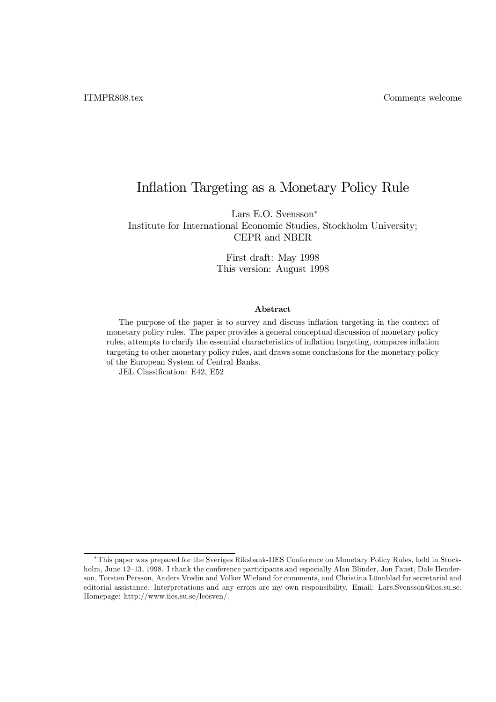# Inflation Targeting as a Monetary Policy Rule

Lars E.O. Svensson<sup>\*</sup> Institute for International Economic Studies, Stockholm University; CEPR and NBER

> First draft: May 1998 This version: August 1998

#### Abstract

The purpose of the paper is to survey and discuss inflation targeting in the context of monetary policy rules. The paper provides a general conceptual discussion of monetary policy rules, attempts to clarify the essential characteristics of inflation targeting, compares inflation targeting to other monetary policy rules, and draws some conclusions for the monetary policy of the European System of Central Banks.

JEL Classification: E42, E52

<sup>§</sup>This paper was prepared for the Sveriges Riksbank-IIES Conference on Monetary Policy Rules, held in Stockholm, June 12–13, 1998. I thank the conference participants and especially Alan Blinder, Jon Faust, Dale Henderson, Torsten Persson, Anders Vredin and Volker Wieland for comments, and Christina Lönnblad for secretarial and editorial assistance. Interpretations and any errors are my own responsibility. Email: Lars.Svensson@iies.su.se. Homepage: http://www.iies.su.se/leosven/.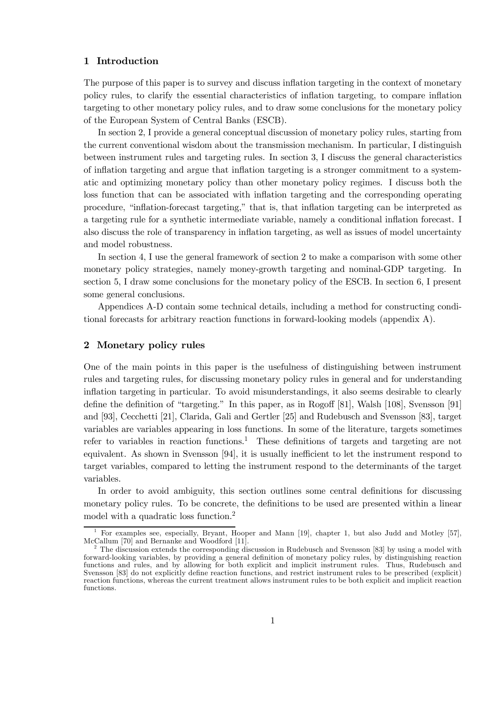# 1 Introduction

The purpose of this paper is to survey and discuss inflation targeting in the context of monetary policy rules, to clarify the essential characteristics of ináation targeting, to compare ináation targeting to other monetary policy rules, and to draw some conclusions for the monetary policy of the European System of Central Banks (ESCB).

In section 2, I provide a general conceptual discussion of monetary policy rules, starting from the current conventional wisdom about the transmission mechanism. In particular, I distinguish between instrument rules and targeting rules. In section 3, I discuss the general characteristics of ináation targeting and argue that ináation targeting is a stronger commitment to a systematic and optimizing monetary policy than other monetary policy regimes. I discuss both the loss function that can be associated with ináation targeting and the corresponding operating procedure, "inflation-forecast targeting," that is, that inflation targeting can be interpreted as a targeting rule for a synthetic intermediate variable, namely a conditional ináation forecast. I also discuss the role of transparency in inflation targeting, as well as issues of model uncertainty and model robustness.

In section 4, I use the general framework of section 2 to make a comparison with some other monetary policy strategies, namely money-growth targeting and nominal-GDP targeting. In section 5, I draw some conclusions for the monetary policy of the ESCB. In section 6, I present some general conclusions.

Appendices A-D contain some technical details, including a method for constructing conditional forecasts for arbitrary reaction functions in forward-looking models (appendix A).

## 2 Monetary policy rules

One of the main points in this paper is the usefulness of distinguishing between instrument rules and targeting rules, for discussing monetary policy rules in general and for understanding inflation targeting in particular. To avoid misunderstandings, it also seems desirable to clearly define the definition of "targeting." In this paper, as in Rogoff [81], Walsh [108], Svensson [91] and [93], Cecchetti [21], Clarida, Gali and Gertler [25] and Rudebusch and Svensson [83], target variables are variables appearing in loss functions. In some of the literature, targets sometimes refer to variables in reaction functions.<sup>1</sup> These definitions of targets and targeting are not equivalent. As shown in Svensson [94], it is usually inefficient to let the instrument respond to target variables, compared to letting the instrument respond to the determinants of the target variables.

In order to avoid ambiguity, this section outlines some central definitions for discussing monetary policy rules. To be concrete, the definitions to be used are presented within a linear model with a quadratic loss function.2

<sup>&</sup>lt;sup>1</sup> For examples see, especially, Bryant, Hooper and Mann [19], chapter 1, but also Judd and Motley [57], McCallum [70] and Bernanke and Woodford [11].

The discussion extends the corresponding discussion in Rudebusch and Svensson [83] by using a model with forward-looking variables, by providing a general definition of monetary policy rules, by distinguishing reaction functions and rules, and by allowing for both explicit and implicit instrument rules. Thus, Rudebusch and Svensson [83] do not explicitly define reaction functions, and restrict instrument rules to be prescribed (explicit) reaction functions, whereas the current treatment allows instrument rules to be both explicit and implicit reaction functions.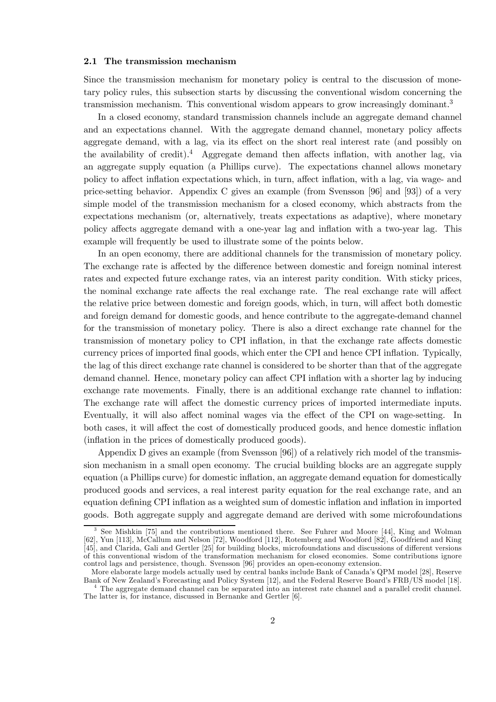## 2.1 The transmission mechanism

Since the transmission mechanism for monetary policy is central to the discussion of monetary policy rules, this subsection starts by discussing the conventional wisdom concerning the transmission mechanism. This conventional wisdom appears to grow increasingly dominant.<sup>3</sup>

In a closed economy, standard transmission channels include an aggregate demand channel and an expectations channel. With the aggregate demand channel, monetary policy affects aggregate demand, with a lag, via its effect on the short real interest rate (and possibly on the availability of credit).<sup>4</sup> Aggregate demand then affects inflation, with another lag, via an aggregate supply equation (a Phillips curve). The expectations channel allows monetary policy to affect inflation expectations which, in turn, affect inflation, with a lag, via wage- and price-setting behavior. Appendix C gives an example (from Svensson [96] and [93]) of a very simple model of the transmission mechanism for a closed economy, which abstracts from the expectations mechanism (or, alternatively, treats expectations as adaptive), where monetary policy affects aggregate demand with a one-year lag and inflation with a two-year lag. This example will frequently be used to illustrate some of the points below.

In an open economy, there are additional channels for the transmission of monetary policy. The exchange rate is affected by the difference between domestic and foreign nominal interest rates and expected future exchange rates, via an interest parity condition. With sticky prices, the nominal exchange rate affects the real exchange rate. The real exchange rate will affect the relative price between domestic and foreign goods, which, in turn, will affect both domestic and foreign demand for domestic goods, and hence contribute to the aggregate-demand channel for the transmission of monetary policy. There is also a direct exchange rate channel for the transmission of monetary policy to CPI inflation, in that the exchange rate affects domestic currency prices of imported final goods, which enter the CPI and hence CPI inflation. Typically, the lag of this direct exchange rate channel is considered to be shorter than that of the aggregate demand channel. Hence, monetary policy can affect CPI inflation with a shorter lag by inducing exchange rate movements. Finally, there is an additional exchange rate channel to inflation: The exchange rate will affect the domestic currency prices of imported intermediate inputs. Eventually, it will also affect nominal wages via the effect of the CPI on wage-setting. In both cases, it will affect the cost of domestically produced goods, and hence domestic inflation (inflation in the prices of domestically produced goods).

Appendix D gives an example (from Svensson [96]) of a relatively rich model of the transmission mechanism in a small open economy. The crucial building blocks are an aggregate supply equation (a Phillips curve) for domestic inflation, an aggregate demand equation for domestically produced goods and services, a real interest parity equation for the real exchange rate, and an equation defining CPI inflation as a weighted sum of domestic inflation and inflation in imported goods. Both aggregate supply and aggregate demand are derived with some microfoundations

<sup>3</sup> See Mishkin [75] and the contributions mentioned there. See Fuhrer and Moore [44], King and Wolman [62], Yun [113], McCallum and Nelson [72], Woodford [112], Rotemberg and Woodford [82], Goodfriend and King [45], and Clarida, Gali and Gertler [25] for building blocks, microfoundations and discussions of different versions of this conventional wisdom of the transformation mechanism for closed economies. Some contributions ignore control lags and persistence, though. Svensson [96] provides an open-economy extension.

More elaborate large models actually used by central banks include Bank of Canada's QPM model [28], Reserve Board's FRB/US model [18].

 $4$  The aggregate demand channel can be separated into an interest rate channel and a parallel credit channel. The latter is, for instance, discussed in Bernanke and Gertler [6].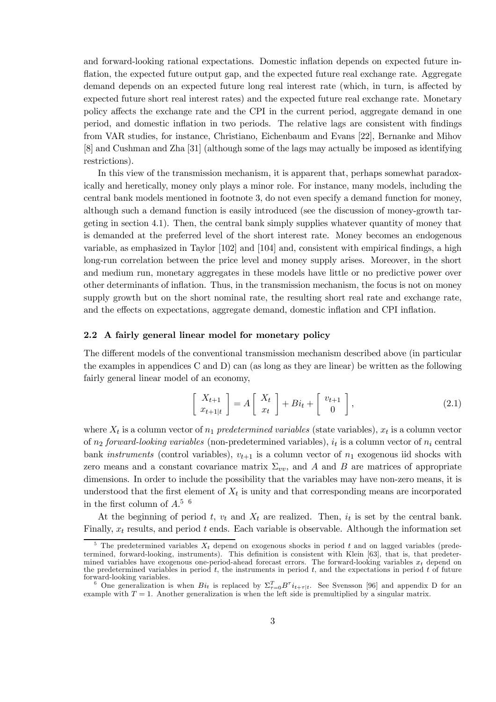and forward-looking rational expectations. Domestic inflation depends on expected future inflation, the expected future output gap, and the expected future real exchange rate. Aggregate demand depends on an expected future long real interest rate (which, in turn, is affected by expected future short real interest rates) and the expected future real exchange rate. Monetary policy affects the exchange rate and the CPI in the current period, aggregate demand in one period, and domestic inflation in two periods. The relative lags are consistent with findings from VAR studies, for instance, Christiano, Eichenbaum and Evans [22], Bernanke and Mihov [8] and Cushman and Zha [31] (although some of the lags may actually be imposed as identifying restrictions).

In this view of the transmission mechanism, it is apparent that, perhaps somewhat paradoxically and heretically, money only plays a minor role. For instance, many models, including the central bank models mentioned in footnote 3, do not even specify a demand function for money, although such a demand function is easily introduced (see the discussion of money-growth targeting in section 4.1). Then, the central bank simply supplies whatever quantity of money that is demanded at the preferred level of the short interest rate. Money becomes an endogenous variable, as emphasized in Taylor  $[102]$  and  $[104]$  and, consistent with empirical findings, a high long-run correlation between the price level and money supply arises. Moreover, in the short and medium run, monetary aggregates in these models have little or no predictive power over other determinants of ináation. Thus, in the transmission mechanism, the focus is not on money supply growth but on the short nominal rate, the resulting short real rate and exchange rate, and the effects on expectations, aggregate demand, domestic inflation and CPI inflation.

## 2.2 A fairly general linear model for monetary policy

The different models of the conventional transmission mechanism described above (in particular the examples in appendices C and D) can (as long as they are linear) be written as the following fairly general linear model of an economy,

$$
\begin{bmatrix} X_{t+1} \\ x_{t+1|t} \end{bmatrix} = A \begin{bmatrix} X_t \\ x_t \end{bmatrix} + Bi_t + \begin{bmatrix} v_{t+1} \\ 0 \end{bmatrix},
$$
\n(2.1)

where  $X_t$  is a column vector of  $n_1$  predetermined variables (state variables),  $x_t$  is a column vector of  $n_2$  forward-looking variables (non-predetermined variables),  $i_t$  is a column vector of  $n_i$  central bank *instruments* (control variables),  $v_{t+1}$  is a column vector of  $n_1$  exogenous iid shocks with zero means and a constant covariance matrix  $\Sigma_{vv}$ , and A and B are matrices of appropriate dimensions. In order to include the possibility that the variables may have non-zero means, it is understood that the first element of  $X_t$  is unity and that corresponding means are incorporated in the first column of  $A<sup>5</sup>$ <sup>6</sup>

At the beginning of period t,  $v_t$  and  $X_t$  are realized. Then,  $i_t$  is set by the central bank. Finally,  $x_t$  results, and period t ends. Each variable is observable. Although the information set

<sup>&</sup>lt;sup>5</sup> The predetermined variables  $X_t$  depend on exogenous shocks in period t and on lagged variables (predetermined, forward-looking, instruments). This definition is consistent with Klein [63], that is, that predetermined variables have exogenous one-period-ahead forecast errors. The forward-looking variables  $x_t$  depend on the predetermined variables in period  $t$ , the instruments in period  $t$ , and the expectations in period  $t$  of future forward-looking variables.<br><sup>6</sup> One generalization is when  $Bi_t$  is replaced by  $\Sigma_{\tau=0}^T B^{\tau} i_{t+\tau|t}$ . See Svensson [96] and appendix D for an

example with  $T = 1$ . Another generalization is when the left side is premultiplied by a singular matrix.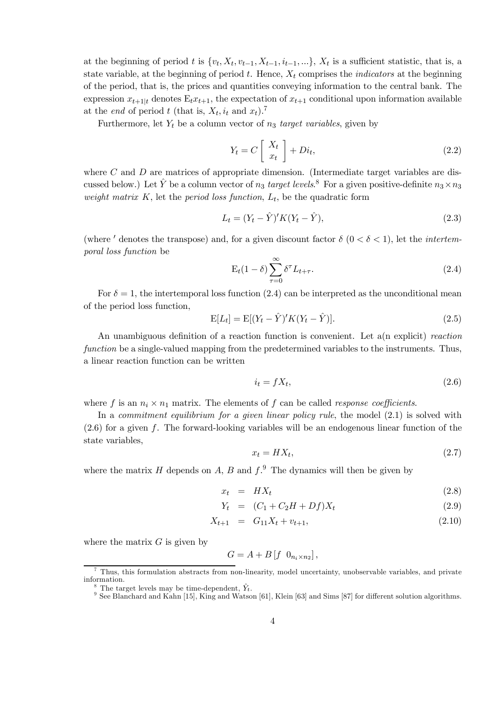at the beginning of period t is  $\{v_t, X_t, v_{t-1}, X_{t-1}, i_{t-1}, ...\}$ ,  $X_t$  is a sufficient statistic, that is, a state variable, at the beginning of period  $t$ . Hence,  $X_t$  comprises the *indicators* at the beginning of the period, that is, the prices and quantities conveying information to the central bank. The expression  $x_{t+1|t}$  denotes  $E_t x_{t+1}$ , the expectation of  $x_{t+1}$  conditional upon information available at the *end* of period t (that is,  $X_t$ ,  $i_t$  and  $x_t$ ).<sup>7</sup>

Furthermore, let  $Y_t$  be a column vector of  $n_3$  target variables, given by

$$
Y_t = C \left[ \begin{array}{c} X_t \\ x_t \end{array} \right] + Di_t,
$$
\n(2.2)

where  $C$  and  $D$  are matrices of appropriate dimension. (Intermediate target variables are discussed below.) Let  $\hat{Y}$  be a column vector of  $n_3$  target levels.<sup>8</sup> For a given positive-definite  $n_3 \times n_3$ weight matrix  $K$ , let the period loss function,  $L_t$ , be the quadratic form

$$
L_t = (Y_t - \hat{Y})' K (Y_t - \hat{Y}), \qquad (2.3)
$$

(where ' denotes the transpose) and, for a given discount factor  $\delta (0 < \delta < 1)$ , let the *intertem*poral loss function be

$$
E_t(1-\delta) \sum_{\tau=0}^{\infty} \delta^{\tau} L_{t+\tau}.
$$
\n(2.4)

For  $\delta = 1$ , the intertemporal loss function (2.4) can be interpreted as the unconditional mean of the period loss function,

$$
E[L_t] = E[(Y_t - \hat{Y})'K(Y_t - \hat{Y})].
$$
\n(2.5)

An unambiguous definition of a reaction function is convenient. Let  $a(n)$  explicit) reaction function be a single-valued mapping from the predetermined variables to the instruments. Thus, a linear reaction function can be written

$$
i_t = fX_t,\tag{2.6}
$$

where f is an  $n_i \times n_1$  matrix. The elements of f can be called *response coefficients*.

In a *commitment equilibrium for a given linear policy rule*, the model  $(2.1)$  is solved with  $(2.6)$  for a given f. The forward-looking variables will be an endogenous linear function of the state variables,

$$
x_t = HX_t,\tag{2.7}
$$

where the matrix H depends on A, B and  $f<sup>9</sup>$ . The dynamics will then be given by

$$
x_t = H X_t \tag{2.8}
$$

$$
Y_t = (C_1 + C_2H + Df)X_t \t\t(2.9)
$$

$$
X_{t+1} = G_{11}X_t + v_{t+1}, \t\t(2.10)
$$

where the matrix  $G$  is given by

$$
G = A + B \left[ f \ 0_{n_i \times n_2} \right],
$$

<sup>7</sup> Thus, this formulation abstracts from non-linearity, model uncertainty, unobservable variables, and private information.<br><sup>8</sup> The target levels may be time-dependent,  $\hat{Y}_t$ .

 $9$  See Blanchard and Kahn [15], King and Watson [61], Klein [63] and Sims [87] for different solution algorithms.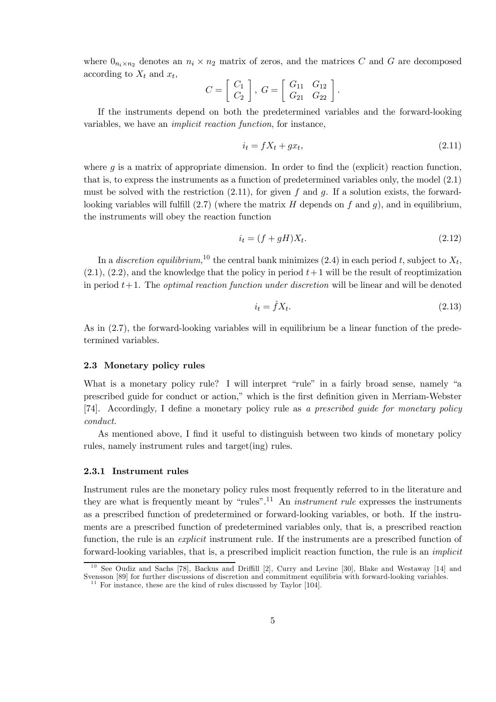where  $0_{n_i \times n_2}$  denotes an  $n_i \times n_2$  matrix of zeros, and the matrices C and G are decomposed according to  $X_t$  and  $x_t$ ,

$$
C = \left[ \begin{array}{c} C_1 \\ C_2 \end{array} \right], \ G = \left[ \begin{array}{cc} G_{11} & G_{12} \\ G_{21} & G_{22} \end{array} \right]
$$

If the instruments depend on both the predetermined variables and the forward-looking variables, we have an *implicit reaction function*, for instance,

$$
i_t = fX_t + gx_t,\tag{2.11}
$$

where q is a matrix of appropriate dimension. In order to find the (explicit) reaction function, that is, to express the instruments as a function of predetermined variables only, the model  $(2.1)$ must be solved with the restriction  $(2.11)$ , for given f and g. If a solution exists, the forwardlooking variables will fulfill  $(2.7)$  (where the matrix H depends on f and g), and in equilibrium, the instruments will obey the reaction function

$$
i_t = (f + gH)X_t.
$$
\n
$$
(2.12)
$$

In a *discretion equilibrium*,<sup>10</sup> the central bank minimizes (2.4) in each period t, subject to  $X_t$ .  $(2.1)$ ,  $(2.2)$ , and the knowledge that the policy in period  $t+1$  will be the result of reoptimization in period  $t+1$ . The *optimal reaction function under discretion* will be linear and will be denoted

$$
i_t = fX_t. \tag{2.13}
$$

As in (2.7), the forward-looking variables will in equilibrium be a linear function of the predetermined variables.

#### 2.3 Monetary policy rules

What is a monetary policy rule? I will interpret "rule" in a fairly broad sense, namely "a prescribed guide for conduct or action," which is the first definition given in Merriam-Webster [74]. Accordingly, I define a monetary policy rule as a prescribed guide for monetary policy *conduct.* 

As mentioned above, I find it useful to distinguish between two kinds of monetary policy rules, namely instrument rules and target (ing) rules.

#### 2.3.1 Instrument rules

Instrument rules are the monetary policy rules most frequently referred to in the literature and they are what is frequently meant by "rules".<sup>11</sup> An *instrument rule* expresses the instruments as a prescribed function of predetermined or forward-looking variables, or both. If the instruments are a prescribed function of predetermined variables only, that is, a prescribed reaction function, the rule is an *explicit* instrument rule. If the instruments are a prescribed function of forward-looking variables, that is, a prescribed implicit reaction function, the rule is an *implicit* 

 $1\,0$ See Oudiz and Sachs [78], Backus and Driffill [2], Curry and Levine [30], Blake and Westaway [14] and Svensson [89] for further discussions of discretion and commitment equilibria with forward-looking variables.<br><sup>11</sup> For instance, these are the kind of rules discussed by Taylor [104].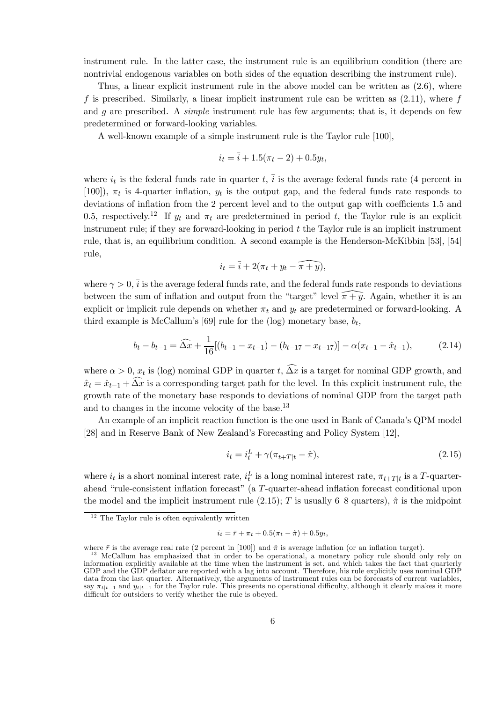instrument rule. In the latter case, the instrument rule is an equilibrium condition (there are nontrivial endogenous variables on both sides of the equation describing the instrument rule).

Thus, a linear explicit instrument rule in the above model can be written as (2.6), where f is prescribed. Similarly, a linear implicit instrument rule can be written as  $(2.11)$ , where f and g are prescribed. A *simple* instrument rule has few arguments; that is, it depends on few predetermined or forward-looking variables.

A well-known example of a simple instrument rule is the Taylor rule [100],

$$
i_t = \overline{i} + 1.5(\pi_t - 2) + 0.5y_t,
$$

where  $i_t$  is the federal funds rate in quarter t,  $\overline{i}$  is the average federal funds rate (4 percent in [100]),  $\pi_t$  is 4-quarter inflation,  $y_t$  is the output gap, and the federal funds rate responds to deviations of inflation from the 2 percent level and to the output gap with coefficients 1.5 and 0.5, respectively.<sup>12</sup> If  $y_t$  and  $\pi_t$  are predetermined in period t, the Taylor rule is an explicit instrument rule; if they are forward-looking in period t the Taylor rule is an implicit instrument rule, that is, an equilibrium condition. A second example is the Henderson-McKibbin [53], [54] rule,

$$
i_t = \overline{i} + 2(\pi_t + y_t - \widehat{\pi + y}),
$$

where  $\gamma > 0$ ,  $\bar{i}$  is the average federal funds rate, and the federal funds rate responds to deviations between the sum of inflation and output from the "target" level  $\widehat{\pi+y}$ . Again, whether it is an explicit or implicit rule depends on whether  $\pi_t$  and  $y_t$  are predetermined or forward-looking. A third example is McCallum's [69] rule for the (log) monetary base,  $b_t$ ,

$$
b_t - b_{t-1} = \widehat{\Delta x} + \frac{1}{16} [(b_{t-1} - x_{t-1}) - (b_{t-17} - x_{t-17})] - \alpha (x_{t-1} - \hat{x}_{t-1}), \tag{2.14}
$$

where  $\alpha > 0$ ,  $x_t$  is (log) nominal GDP in quarter t,  $\widehat{\Delta x}$  is a target for nominal GDP growth, and  $\hat{x}_t = \hat{x}_{t-1} + \overbrace{\hat{\Delta x}}^{\sim}$  is a corresponding target path for the level. In this explicit instrument rule, the growth rate of the monetary base responds to deviations of nominal GDP from the target path and to changes in the income velocity of the base.<sup>13</sup>

An example of an implicit reaction function is the one used in Bank of Canada's QPM model [28] and in Reserve Bank of New Zealand's Forecasting and Policy System [12],

$$
i_t = i_t^L + \gamma(\pi_{t+T|t} - \hat{\pi}), \tag{2.15}
$$

where  $i_t$  is a short nominal interest rate,  $i_t^L$  is a long nominal interest rate,  $\pi_{t+T|t}$  is a T-quarterahead "rule-consistent inflation forecast" (a  $T$ -quarter-ahead inflation forecast conditional upon the model and the implicit instrument rule (2.15); T is usually 6–8 quarters),  $\hat{\pi}$  is the midpoint

$$
i_t = \bar{r} + \pi_t + 0.5(\pi_t - \hat{\pi}) + 0.5y_t,
$$

 $12$  The Taylor rule is often equivalently written

where  $\bar{r}$  is the average real rate (2 percent in [100]) and  $\hat{\pi}$  is average inflation (or an inflation target). <sup>13</sup> McCallum has emphasized that in order to be operational, a monetary policy rule should only rely information explicitly available at the time when the instrument is set, and which takes the fact that quarterly GDP and the GDP deflator are reported with a lag into account. Therefore, his rule explicitly uses nominal GDP data from the last quarter. Alternatively, the arguments of instrument rules can be forecasts of current variables, say  $\pi_{t|t-1}$  and  $y_{t|t-1}$  for the Taylor rule. This presents no operational difficulty, although it clearly makes it more difficult for outsiders to verify whether the rule is obeyed.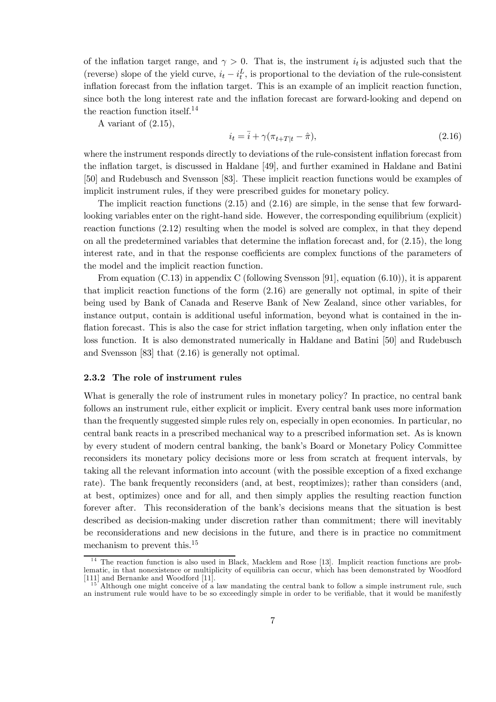of the inflation target range, and  $\gamma > 0$ . That is, the instrument  $i_t$  is adjusted such that the (reverse) slope of the yield curve,  $i_t - i_t^L$ , is proportional to the deviation of the rule-consistent inflation forecast from the inflation target. This is an example of an implicit reaction function, since both the long interest rate and the inflation forecast are forward-looking and depend on the reaction function itself.14

A variant of (2.15),

$$
i_t = \bar{i} + \gamma(\pi_{t+T|t} - \hat{\pi}),\tag{2.16}
$$

where the instrument responds directly to deviations of the rule-consistent inflation forecast from the inflation target, is discussed in Haldane [49], and further examined in Haldane and Batini [50] and Rudebusch and Svensson [83]. These implicit reaction functions would be examples of implicit instrument rules, if they were prescribed guides for monetary policy.

The implicit reaction functions (2.15) and (2.16) are simple, in the sense that few forwardlooking variables enter on the right-hand side. However, the corresponding equilibrium (explicit) reaction functions (2.12) resulting when the model is solved are complex, in that they depend on all the predetermined variables that determine the inflation forecast and, for  $(2.15)$ , the long interest rate, and in that the response coefficients are complex functions of the parameters of the model and the implicit reaction function.

From equation  $(C.13)$  in appendix C (following Svensson [91], equation  $(6.10)$ ), it is apparent that implicit reaction functions of the form (2.16) are generally not optimal, in spite of their being used by Bank of Canada and Reserve Bank of New Zealand, since other variables, for instance output, contain is additional useful information, beyond what is contained in the inflation forecast. This is also the case for strict inflation targeting, when only inflation enter the loss function. It is also demonstrated numerically in Haldane and Batini [50] and Rudebusch and Svensson [83] that (2.16) is generally not optimal.

## 2.3.2 The role of instrument rules

What is generally the role of instrument rules in monetary policy? In practice, no central bank follows an instrument rule, either explicit or implicit. Every central bank uses more information than the frequently suggested simple rules rely on, especially in open economies. In particular, no central bank reacts in a prescribed mechanical way to a prescribed information set. As is known by every student of modern central banking, the bankís Board or Monetary Policy Committee reconsiders its monetary policy decisions more or less from scratch at frequent intervals, by taking all the relevant information into account (with the possible exception of a fixed exchange rate). The bank frequently reconsiders (and, at best, reoptimizes); rather than considers (and, at best, optimizes) once and for all, and then simply applies the resulting reaction function forever after. This reconsideration of the bank's decisions means that the situation is best described as decision-making under discretion rather than commitment; there will inevitably be reconsiderations and new decisions in the future, and there is in practice no commitment mechanism to prevent this.<sup>15</sup>

 $14$  The reaction function is also used in Black, Macklem and Rose [13]. Implicit reaction functions are problematic, in that nonexistence or multiplicity of equilibria can occur, which has been demonstrated by Woodford [111] and Bernanke and Woodford [11].

 $15<sup>15</sup>$  Although one might conceive of a law mandating the central bank to follow a simple instrument rule, such an instrument rule would have to be so exceedingly simple in order to be verifiable, that it would be manifestly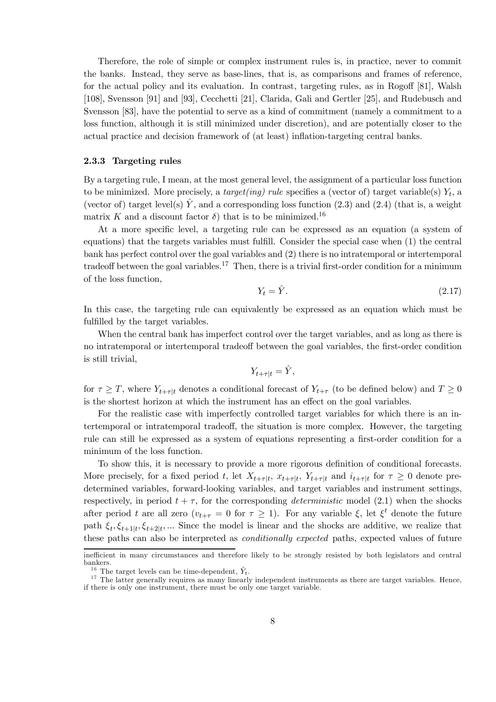Therefore, the role of simple or complex instrument rules is, in practice, never to commit the banks. Instead, they serve as base-lines, that is, as comparisons and frames of reference, for the actual policy and its evaluation. In contrast, targeting rules, as in Rogoff  $[81]$ , Walsh [108], Svensson [91] and [93], Cecchetti [21], Clarida, Gali and Gertler [25], and Rudebusch and Svensson [83], have the potential to serve as a kind of commitment (namely a commitment to a loss function, although it is still minimized under discretion), and are potentially closer to the actual practice and decision framework of (at least) inflation-targeting central banks.

## 2.3.3 Targeting rules

By a targeting rule, I mean, at the most general level, the assignment of a particular loss function to be minimized. More precisely, a *target(ing) rule* specifies a (vector of) target variable(s)  $Y_t$ , a (vector of) target level(s)  $\hat{Y}$ , and a corresponding loss function (2.3) and (2.4) (that is, a weight matrix K and a discount factor  $\delta$ ) that is to be minimized.<sup>16</sup>

At a more specific level, a targeting rule can be expressed as an equation (a system of equations) that the targets variables must fulfill. Consider the special case when (1) the central bank has perfect control over the goal variables and (2) there is no intratemporal or intertemporal tradeoff between the goal variables.<sup>17</sup> Then, there is a trivial first-order condition for a minimum of the loss function,

$$
Y_t = \hat{Y}.\tag{2.17}
$$

In this case, the targeting rule can equivalently be expressed as an equation which must be fulfilled by the target variables.

When the central bank has imperfect control over the target variables, and as long as there is no intratemporal or intertemporal tradeoff between the goal variables, the first-order condition is still trivial,

$$
Y_{t+\tau|t} = \hat{Y},
$$

for  $\tau \geq T$ , where  $Y_{t+\tau|t}$  denotes a conditional forecast of  $Y_{t+\tau}$  (to be defined below) and  $T \geq 0$ is the shortest horizon at which the instrument has an effect on the goal variables.

For the realistic case with imperfectly controlled target variables for which there is an intertemporal or intratemporal tradeo§, the situation is more complex. However, the targeting rule can still be expressed as a system of equations representing a first-order condition for a minimum of the loss function.

To show this, it is necessary to provide a more rigorous definition of conditional forecasts. More precisely, for a fixed period t, let  $X_{t+\tau|t}$ ,  $x_{t+\tau|t}$ ,  $Y_{t+\tau|t}$  and  $i_{t+\tau|t}$  for  $\tau \geq 0$  denote predetermined variables, forward-looking variables, and target variables and instrument settings, respectively, in period  $t + \tau$ , for the corresponding *deterministic* model (2.1) when the shocks after period t are all zero  $(v_{t+\tau}=0$  for  $\tau\geq 1$ ). For any variable  $\xi$ , let  $\xi^t$  denote the future path  $\xi_t$ ,  $\xi_{t+1|t}$ ,  $\xi_{t+2|t}$ , ... Since the model is linear and the shocks are additive, we realize that these paths can also be interpreted as conditionally expected paths, expected values of future

inefficient in many circumstances and therefore likely to be strongly resisted by both legislators and central bankers.<br><sup>16</sup> The target levels can be time-dependent,  $\hat{Y}_t$ .

 $17$ . The target levels can be time-dependent, independent instruments as there are target variables. Hence, if there is only one instrument, there must be only one target variable.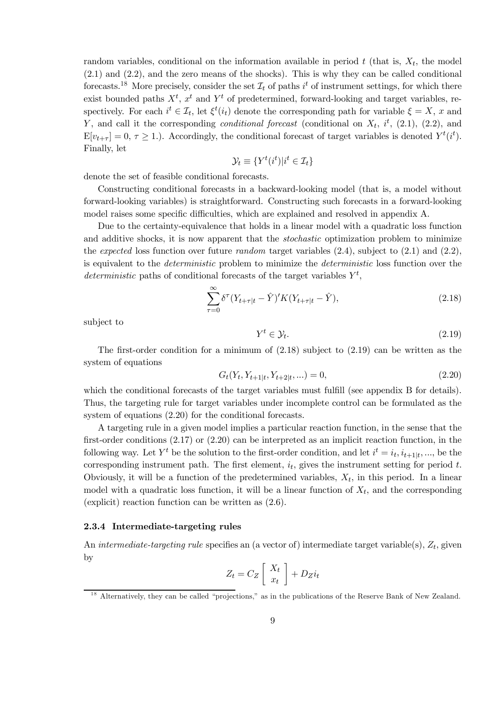random variables, conditional on the information available in period  $t$  (that is,  $X_t$ , the model (2.1) and (2.2), and the zero means of the shocks). This is why they can be called conditional forecasts.<sup>18</sup> More precisely, consider the set  $\mathcal{I}_t$  of paths  $i^t$  of instrument settings, for which there exist bounded paths  $X^t$ ,  $x^t$  and  $Y^t$  of predetermined, forward-looking and target variables, respectively. For each  $i^t \in \mathcal{I}_t$ , let  $\xi^t(i_t)$  denote the corresponding path for variable  $\xi = X$ , x and Y, and call it the corresponding *conditional forecast* (conditional on  $X_t$ ,  $i^t$ , (2.1), (2.2), and  $E[v_{t+\tau}] = 0, \tau \ge 1$ .). Accordingly, the conditional forecast of target variables is denoted  $Y^t(i^t)$ . Finally, let

$$
\mathcal{Y}_t \equiv \{ Y^t(i^t) | i^t \in \mathcal{I}_t \}
$$

denote the set of feasible conditional forecasts.

Constructing conditional forecasts in a backward-looking model (that is, a model without forward-looking variables) is straightforward. Constructing such forecasts in a forward-looking model raises some specific difficulties, which are explained and resolved in appendix A.

Due to the certainty-equivalence that holds in a linear model with a quadratic loss function and additive shocks, it is now apparent that the *stochastic* optimization problem to minimize the expected loss function over future random target variables  $(2.4)$ , subject to  $(2.1)$  and  $(2.2)$ , is equivalent to the deterministic problem to minimize the deterministic loss function over the deterministic paths of conditional forecasts of the target variables  $Y^t$ ,

$$
\sum_{\tau=0}^{\infty} \delta^{\tau} (Y_{t+\tau|t} - \hat{Y})' K (Y_{t+\tau|t} - \hat{Y}), \tag{2.18}
$$

subject to

$$
Y^t \in \mathcal{Y}_t. \tag{2.19}
$$

The first-order condition for a minimum of  $(2.18)$  subject to  $(2.19)$  can be written as the system of equations

$$
G_t(Y_t, Y_{t+1|t}, Y_{t+2|t}, \ldots) = 0,\t\t(2.20)
$$

which the conditional forecasts of the target variables must fulfill (see appendix B for details). Thus, the targeting rule for target variables under incomplete control can be formulated as the system of equations  $(2.20)$  for the conditional forecasts.

A targeting rule in a given model implies a particular reaction function, in the sense that the first-order conditions  $(2.17)$  or  $(2.20)$  can be interpreted as an implicit reaction function, in the following way. Let  $Y^t$  be the solution to the first-order condition, and let  $i^t = i_t, i_{t+1|t}, \ldots$ , be the corresponding instrument path. The first element,  $i_t$ , gives the instrument setting for period t. Obviously, it will be a function of the predetermined variables,  $X_t$ , in this period. In a linear model with a quadratic loss function, it will be a linear function of  $X_t$ , and the corresponding (explicit) reaction function can be written as (2.6).

## 2.3.4 Intermediate-targeting rules

An intermediate-targeting rule specifies an (a vector of) intermediate target variable(s),  $Z_t$ , given by · ¸

$$
Z_t = C_Z \left[ \begin{array}{c} X_t \\ x_t \end{array} \right] + D_Z i_t
$$

 $18$  Alternatively, they can be called "projections," as in the publications of the Reserve Bank of New Zealand.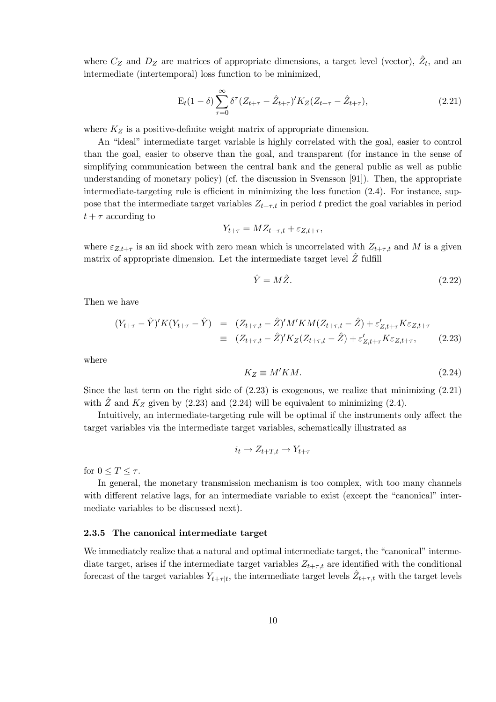where  $C_Z$  and  $D_Z$  are matrices of appropriate dimensions, a target level (vector),  $\hat{Z}_t$ , and an intermediate (intertemporal) loss function to be minimized,

$$
E_t(1-\delta) \sum_{\tau=0}^{\infty} \delta^{\tau} (Z_{t+\tau} - \hat{Z}_{t+\tau})' K_Z (Z_{t+\tau} - \hat{Z}_{t+\tau}), \qquad (2.21)
$$

where  $K_Z$  is a positive-definite weight matrix of appropriate dimension.

An "ideal" intermediate target variable is highly correlated with the goal, easier to control than the goal, easier to observe than the goal, and transparent (for instance in the sense of simplifying communication between the central bank and the general public as well as public understanding of monetary policy) (cf. the discussion in Svensson [91]). Then, the appropriate intermediate-targeting rule is efficient in minimizing the loss function  $(2.4)$ . For instance, suppose that the intermediate target variables  $Z_{t+\tau,t}$  in period t predict the goal variables in period  $t + \tau$  according to

$$
Y_{t+\tau} = M Z_{t+\tau,t} + \varepsilon_{Z,t+\tau},
$$

where  $\varepsilon_{Z,t+\tau}$  is an iid shock with zero mean which is uncorrelated with  $Z_{t+\tau,t}$  and M is a given matrix of appropriate dimension. Let the intermediate target level  $\hat{Z}$  fulfill

$$
\hat{Y} = M\hat{Z}.\tag{2.22}
$$

Then we have

$$
(Y_{t+\tau} - \hat{Y})'K(Y_{t+\tau} - \hat{Y}) = (Z_{t+\tau,t} - \hat{Z})'M'KM(Z_{t+\tau,t} - \hat{Z}) + \varepsilon'_{Z,t+\tau}K\varepsilon_{Z,t+\tau}
$$
  
\n
$$
\equiv (Z_{t+\tau,t} - \hat{Z})'K_Z(Z_{t+\tau,t} - \hat{Z}) + \varepsilon'_{Z,t+\tau}K\varepsilon_{Z,t+\tau},
$$
(2.23)

where

$$
K_Z \equiv M'KM. \tag{2.24}
$$

Since the last term on the right side of  $(2.23)$  is exogenous, we realize that minimizing  $(2.21)$ with  $\hat{Z}$  and  $K_Z$  given by (2.23) and (2.24) will be equivalent to minimizing (2.4).

Intuitively, an intermediate-targeting rule will be optimal if the instruments only affect the target variables via the intermediate target variables, schematically illustrated as

$$
i_t \to Z_{t+T,t} \to Y_{t+\tau}
$$

for  $0 \leq T \leq \tau$ .

In general, the monetary transmission mechanism is too complex, with too many channels with different relative lags, for an intermediate variable to exist (except the "canonical" intermediate variables to be discussed next).

## 2.3.5 The canonical intermediate target

We immediately realize that a natural and optimal intermediate target, the "canonical" intermediate target, arises if the intermediate target variables  $Z_{t+\tau,t}$  are identified with the conditional forecast of the target variables  $Y_{t+\tau|t}$ , the intermediate target levels  $Z_{t+\tau,t}$  with the target levels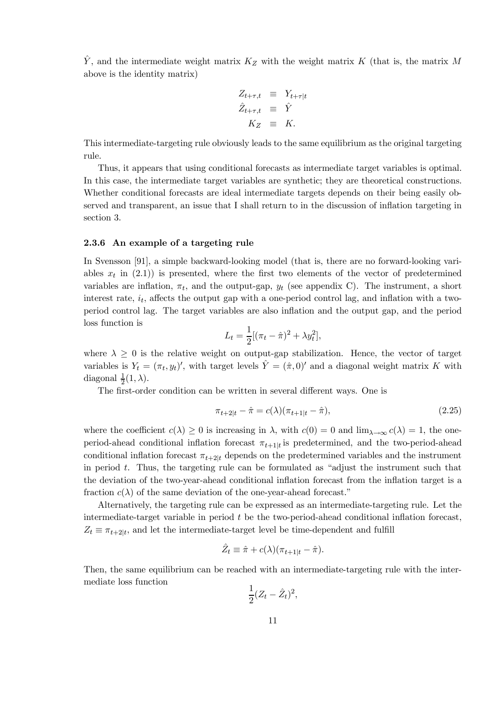$\hat{Y}$ , and the intermediate weight matrix  $K_Z$  with the weight matrix K (that is, the matrix M above is the identity matrix)

$$
Z_{t+\tau,t} \equiv Y_{t+\tau|t}
$$
  

$$
\hat{Z}_{t+\tau,t} \equiv \hat{Y}
$$
  

$$
K_Z \equiv K.
$$

This intermediate-targeting rule obviously leads to the same equilibrium as the original targeting rule.

Thus, it appears that using conditional forecasts as intermediate target variables is optimal. In this case, the intermediate target variables are synthetic; they are theoretical constructions. Whether conditional forecasts are ideal intermediate targets depends on their being easily observed and transparent, an issue that I shall return to in the discussion of inflation targeting in section 3.

#### 2.3.6 An example of a targeting rule

In Svensson [91], a simple backward-looking model (that is, there are no forward-looking variables  $x_t$  in  $(2.1)$  is presented, where the first two elements of the vector of predetermined variables are inflation,  $\pi_t$ , and the output-gap,  $y_t$  (see appendix C). The instrument, a short interest rate,  $i_t$ , affects the output gap with a one-period control lag, and inflation with a twoperiod control lag. The target variables are also ináation and the output gap, and the period loss function is

$$
L_t = \frac{1}{2} [(\pi_t - \hat{\pi})^2 + \lambda y_t^2],
$$

where  $\lambda \geq 0$  is the relative weight on output-gap stabilization. Hence, the vector of target variables is  $Y_t = (\pi_t, y_t)'$ , with target levels  $\hat{Y} = (\hat{\pi}, 0)'$  and a diagonal weight matrix K with diagonal  $\frac{1}{2}(1,\lambda)$ .

The first-order condition can be written in several different ways. One is

$$
\pi_{t+2|t} - \hat{\pi} = c(\lambda)(\pi_{t+1|t} - \hat{\pi}),
$$
\n(2.25)

where the coefficient  $c(\lambda) \geq 0$  is increasing in  $\lambda$ , with  $c(0) = 0$  and  $\lim_{\lambda \to \infty} c(\lambda) = 1$ , the oneperiod-ahead conditional inflation forecast  $\pi_{t+1|t}$  is predetermined, and the two-period-ahead conditional inflation forecast  $\pi_{t+2|t}$  depends on the predetermined variables and the instrument in period  $t$ . Thus, the targeting rule can be formulated as "adjust the instrument such that the deviation of the two-year-ahead conditional inflation forecast from the inflation target is a fraction  $c(\lambda)$  of the same deviation of the one-year-ahead forecast."

Alternatively, the targeting rule can be expressed as an intermediate-targeting rule. Let the intermediate-target variable in period  $t$  be the two-period-ahead conditional inflation forecast,  $Z_t \equiv \pi_{t+2|t}$ , and let the intermediate-target level be time-dependent and fulfill

$$
\hat{Z}_t \equiv \hat{\pi} + c(\lambda)(\pi_{t+1|t} - \hat{\pi}).
$$

Then, the same equilibrium can be reached with an intermediate-targeting rule with the intermediate loss function

$$
\frac{1}{2}(Z_t - \hat{Z}_t)^2,
$$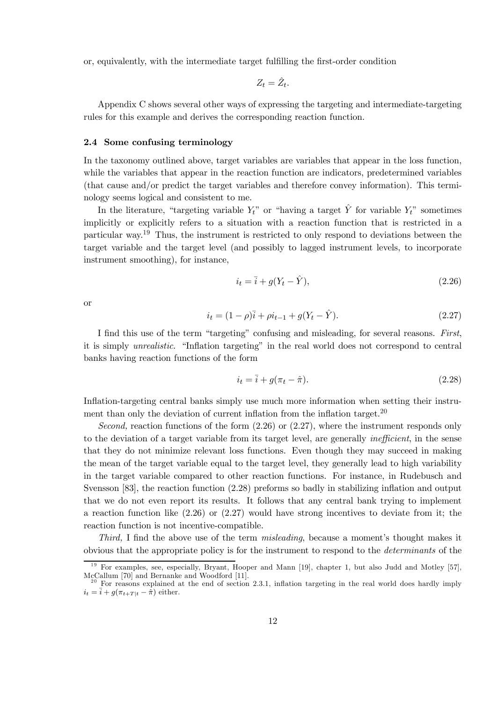or, equivalently, with the intermediate target fulfilling the first-order condition

$$
Z_t = \tilde{Z}_t
$$

Appendix C shows several other ways of expressing the targeting and intermediate-targeting rules for this example and derives the corresponding reaction function.

#### 2.4 Some confusing terminology

In the taxonomy outlined above, target variables are variables that appear in the loss function, while the variables that appear in the reaction function are indicators, predetermined variables (that cause and/or predict the target variables and therefore convey information). This terminology seems logical and consistent to me.

In the literature, "targeting variable  $Y_t$ " or "having a target  $\hat{Y}$  for variable  $Y_t$ " sometimes implicitly or explicitly refers to a situation with a reaction function that is restricted in a particular way.<sup>19</sup> Thus, the instrument is restricted to only respond to deviations between the target variable and the target level (and possibly to lagged instrument levels, to incorporate instrument smoothing), for instance,

$$
i_t = \overline{i} + g(Y_t - \hat{Y}),\tag{2.26}
$$

**or** 

$$
i_t = (1 - \rho)\bar{i} + \rho i_{t-1} + g(Y_t - \hat{Y}).\tag{2.27}
$$

I find this use of the term "targeting" confusing and misleading, for several reasons. First, it is simply *unrealistic*. "Inflation targeting" in the real world does not correspond to central banks having reaction functions of the form

$$
i_t = \overline{i} + g(\pi_t - \hat{\pi}).\tag{2.28}
$$

Inflation-targeting central banks simply use much more information when setting their instrument than only the deviation of current inflation from the inflation target.<sup>20</sup>

Second, reaction functions of the form  $(2.26)$  or  $(2.27)$ , where the instrument responds only to the deviation of a target variable from its target level, are generally *inefficient*, in the sense that they do not minimize relevant loss functions. Even though they may succeed in making the mean of the target variable equal to the target level, they generally lead to high variability in the target variable compared to other reaction functions. For instance, in Rudebusch and Svensson [83], the reaction function  $(2.28)$  preforms so badly in stabilizing inflation and output that we do not even report its results. It follows that any central bank trying to implement a reaction function like  $(2.26)$  or  $(2.27)$  would have strong incentives to deviate from it; the reaction function is not incentive-compatible.

*Third*, I find the above use of the term *misleading*, because a moment's thought makes it obvious that the appropriate policy is for the instrument to respond to the *determinants* of the

<sup>&</sup>lt;sup>19</sup> For examples, see, especially, Bryant, Hooper and Mann [19], chapter 1, but also Judd and Motley [57], McCallum [70] and Bernanke and Woodford [11].<br><sup>20</sup> For reasons explained at the end of section 2.3.1, inflation targeting in the real world does hardly imply

 $i_t = \overline{i} + g(\pi_{t+T|t} - \hat{\pi})$  either.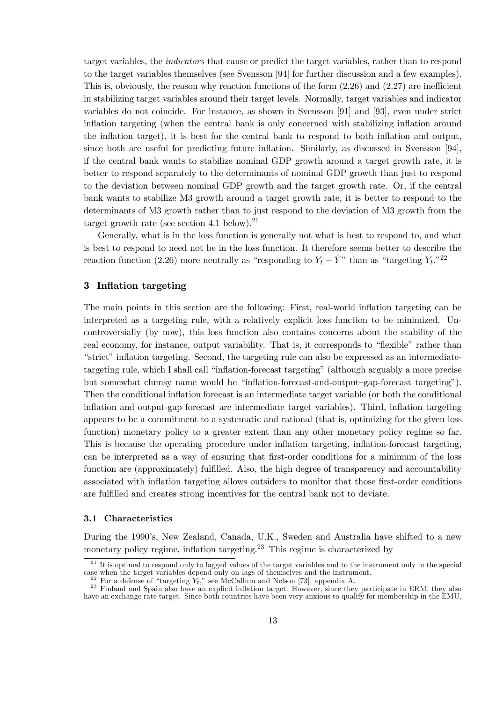target variables, the *indicators* that cause or predict the target variables, rather than to respond to the target variables themselves (see Svensson [94] for further discussion and a few examples). This is, obviously, the reason why reaction functions of the form  $(2.26)$  and  $(2.27)$  are inefficient in stabilizing target variables around their target levels. Normally, target variables and indicator variables do not coincide. For instance, as shown in Svensson [91] and [93], even under strict inflation targeting (when the central bank is only concerned with stabilizing inflation around the inflation target), it is best for the central bank to respond to both inflation and output, since both are useful for predicting future inflation. Similarly, as discussed in Svensson [94], if the central bank wants to stabilize nominal GDP growth around a target growth rate, it is better to respond separately to the determinants of nominal GDP growth than just to respond to the deviation between nominal GDP growth and the target growth rate. Or, if the central bank wants to stabilize M3 growth around a target growth rate, it is better to respond to the determinants of M3 growth rather than to just respond to the deviation of M3 growth from the target growth rate (see section 4.1 below). $21$ 

Generally, what is in the loss function is generally not what is best to respond to, and what is best to respond to need not be in the loss function. It therefore seems better to describe the reaction function (2.26) more neutrally as "responding to  $Y_t - \hat{Y}$ " than as "targeting  $Y_t$ ."<sup>22</sup>

## 3 Inflation targeting

The main points in this section are the following: First, real-world inflation targeting can be interpreted as a targeting rule, with a relatively explicit loss function to be minimized. Uncontroversially (by now), this loss function also contains concerns about the stability of the real economy, for instance, output variability. That is, it corresponds to "flexible" rather than "strict" inflation targeting. Second, the targeting rule can also be expressed as an intermediatetargeting rule, which I shall call "inflation-forecast targeting" (although arguably a more precise but somewhat clumsy name would be "inflation-forecast-and-output-gap-forecast targeting"). Then the conditional inflation forecast is an intermediate target variable (or both the conditional inflation and output-gap forecast are intermediate target variables). Third, inflation targeting appears to be a commitment to a systematic and rational (that is, optimizing for the given loss function) monetary policy to a greater extent than any other monetary policy regime so far. This is because the operating procedure under inflation targeting, inflation-forecast targeting, can be interpreted as a way of ensuring that first-order conditions for a minimum of the loss function are (approximately) fulfilled. Also, the high degree of transparency and accountability associated with inflation targeting allows outsiders to monitor that those first-order conditions are fulfilled and creates strong incentives for the central bank not to deviate.

#### 3.1 Characteristics

During the 1990's, New Zealand, Canada, U.K., Sweden and Australia have shifted to a new monetary policy regime, inflation targeting.<sup>23</sup> This regime is characterized by

 $^{21}$  It is optimal to respond only to lagged values of the target variables and to the instrument only in the special case when the target variables depend only on lags of themselves and the instrument.

<sup>&</sup>lt;sup>22</sup> For a defense of "targeting  $Y_t$ ," see McCallum and Nelson [73], appendix A.

<sup>&</sup>lt;sup>23</sup> Finland and Spain also have an explicit inflation target. However, since they participate in ERM, they also have an exchange rate target. Since both countries have been very anxious to qualify for membership in the EMU,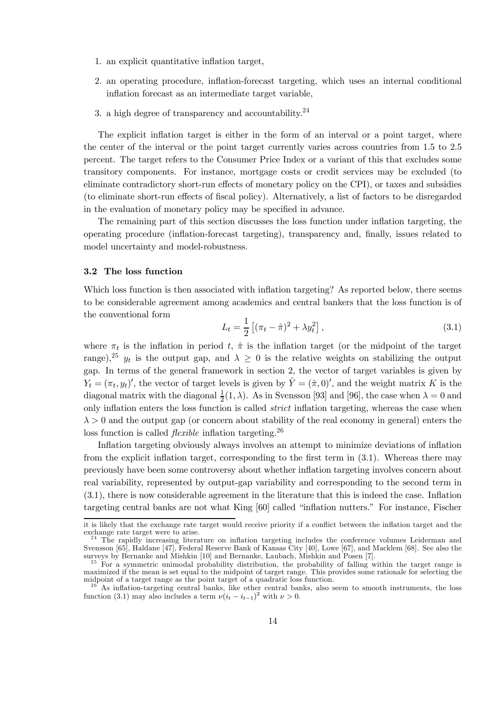- 1. an explicit quantitative inflation target,
- 2. an operating procedure, inflation-forecast targeting, which uses an internal conditional inflation forecast as an intermediate target variable,
- 3. a high degree of transparency and accountability. $24$

The explicit inflation target is either in the form of an interval or a point target, where the center of the interval or the point target currently varies across countries from 1.5 to 2.5 percent. The target refers to the Consumer Price Index or a variant of this that excludes some transitory components. For instance, mortgage costs or credit services may be excluded (to eliminate contradictory short-run effects of monetary policy on the CPI), or taxes and subsidies (to eliminate short-run effects of fiscal policy). Alternatively, a list of factors to be disregarded in the evaluation of monetary policy may be specified in advance.

The remaining part of this section discusses the loss function under ináation targeting, the operating procedure (inflation-forecast targeting), transparency and, finally, issues related to model uncertainty and model-robustness.

## 3.2 The loss function

Which loss function is then associated with inflation targeting? As reported below, there seems to be considerable agreement among academics and central bankers that the loss function is of the conventional form £ §

$$
L_t = \frac{1}{2} \left[ (\pi_t - \hat{\pi})^2 + \lambda y_t^2 \right],
$$
\n(3.1)

where  $\pi_t$  is the inflation in period t,  $\hat{\pi}$  is the inflation target (or the midpoint of the target range),<sup>25</sup>  $y_t$  is the output gap, and  $\lambda \geq 0$  is the relative weights on stabilizing the output gap. In terms of the general framework in section 2, the vector of target variables is given by  $Y_t = (\pi_t, y_t)'$ , the vector of target levels is given by  $\hat{Y} = (\hat{\pi}, 0)'$ , and the weight matrix K is the diagonal matrix with the diagonal  $\frac{1}{2}(1,\lambda)$ . As in Svensson [93] and [96], the case when  $\lambda = 0$  and only inflation enters the loss function is called *strict* inflation targeting, whereas the case when  $\lambda > 0$  and the output gap (or concern about stability of the real economy in general) enters the loss function is called *flexible* inflation targeting.<sup>26</sup>

Inflation targeting obviously always involves an attempt to minimize deviations of inflation from the explicit inflation target, corresponding to the first term in  $(3.1)$ . Whereas there may previously have been some controversy about whether ináation targeting involves concern about real variability, represented by output-gap variability and corresponding to the second term in  $(3.1)$ , there is now considerable agreement in the literature that this is indeed the case. Inflation targeting central banks are not what King [60] called "inflation nutters." For instance, Fischer

it is likely that the exchange rate target would receive priority if a conflict between the inflation target and the exchange rate target were to arise.<br><sup>24</sup> The rapidly increasing literature on inflation targeting includes the conference volumes Leiderman and

Svensson [65], Haldane [47], Federal Reserve Bank of Kansas City [40], Lowe [67], and Macklem [68]. See also the surveys by Bernanke and Mishkin [10] and Bernanke, Laubach, Mishkin and Posen [7].<br><sup>25</sup> For a symmetric unimodal probability distribution, the probability of falling within the target range is

maximized if the mean is set equal to the midpoint of target range. This provides some rationale for selecting the midpoint of a target range as the point target of a quadratic loss function.

 $26<sup>26</sup>$  As inflation-targeting central banks, like other central banks, also seem to smooth instruments, the loss function (3.1) may also includes a term  $\nu (i_t - i_{t-1})^2$  with  $\nu > 0$ .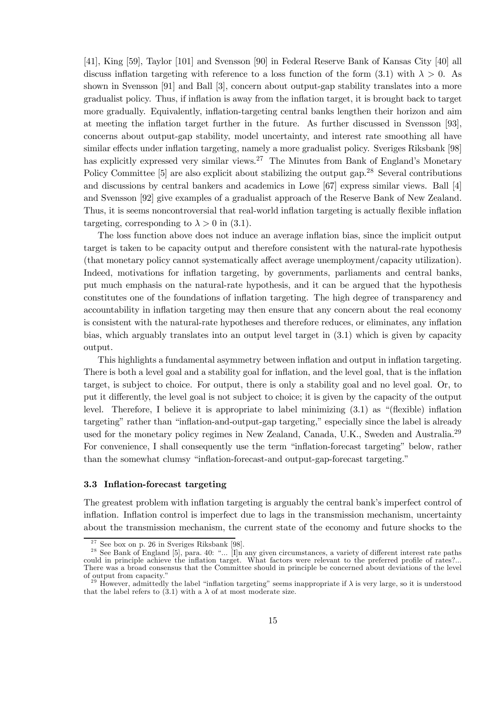[41], King [59], Taylor [101] and Svensson [90] in Federal Reserve Bank of Kansas City [40] all discuss inflation targeting with reference to a loss function of the form  $(3.1)$  with  $\lambda > 0$ . As shown in Svensson [91] and Ball [3], concern about output-gap stability translates into a more gradualist policy. Thus, if inflation is away from the inflation target, it is brought back to target more gradually. Equivalently, inflation-targeting central banks lengthen their horizon and aim at meeting the inflation target further in the future. As further discussed in Svensson [93], concerns about output-gap stability, model uncertainty, and interest rate smoothing all have similar effects under inflation targeting, namely a more gradualist policy. Sveriges Riksbank [98] has explicitly expressed very similar views.<sup>27</sup> The Minutes from Bank of England's Monetary Policy Committee [5] are also explicit about stabilizing the output gap.<sup>28</sup> Several contributions and discussions by central bankers and academics in Lowe [67] express similar views. Ball [4] and Svensson [92] give examples of a gradualist approach of the Reserve Bank of New Zealand. Thus, it is seems noncontroversial that real-world inflation targeting is actually flexible inflation targeting, corresponding to  $\lambda > 0$  in (3.1).

The loss function above does not induce an average inflation bias, since the implicit output target is taken to be capacity output and therefore consistent with the natural-rate hypothesis (that monetary policy cannot systematically affect average unemployment/capacity utilization). Indeed, motivations for inflation targeting, by governments, parliaments and central banks, put much emphasis on the natural-rate hypothesis, and it can be argued that the hypothesis constitutes one of the foundations of inflation targeting. The high degree of transparency and accountability in inflation targeting may then ensure that any concern about the real economy is consistent with the natural-rate hypotheses and therefore reduces, or eliminates, any inflation bias, which arguably translates into an output level target in (3.1) which is given by capacity output.

This highlights a fundamental asymmetry between inflation and output in inflation targeting. There is both a level goal and a stability goal for inflation, and the level goal, that is the inflation target, is subject to choice. For output, there is only a stability goal and no level goal. Or, to put it differently, the level goal is not subject to choice; it is given by the capacity of the output level. Therefore, I believe it is appropriate to label minimizing  $(3.1)$  as "(flexible) inflation targeting" rather than "inflation-and-output-gap targeting," especially since the label is already used for the monetary policy regimes in New Zealand, Canada, U.K., Sweden and Australia.<sup>29</sup> For convenience, I shall consequently use the term "inflation-forecast targeting" below, rather than the somewhat clumsy "inflation-forecast-and output-gap-forecast targeting."

## 3.3 Inflation-forecast targeting

The greatest problem with inflation targeting is arguably the central bank's imperfect control of inflation. Inflation control is imperfect due to lags in the transmission mechanism, uncertainty about the transmission mechanism, the current state of the economy and future shocks to the

<sup>&</sup>lt;sup>27</sup> See box on p. 26 in Sveriges Riksbank [98].<br><sup>28</sup> See Bank of England [5], para. 40: "... [I]n any given circumstances, a variety of different interest rate paths could in principle achieve the inflation target. What factors were relevant to the preferred profile of rates?... There was a broad consensus that the Committee should in principle be concerned about deviations of the level of output from capacity."<br><sup>29</sup> However, admittedly the label "inflation targeting" seems inappropriate if  $\lambda$  is very large, so it is understood

that the label refers to (3.1) with a  $\lambda$  of at most moderate size.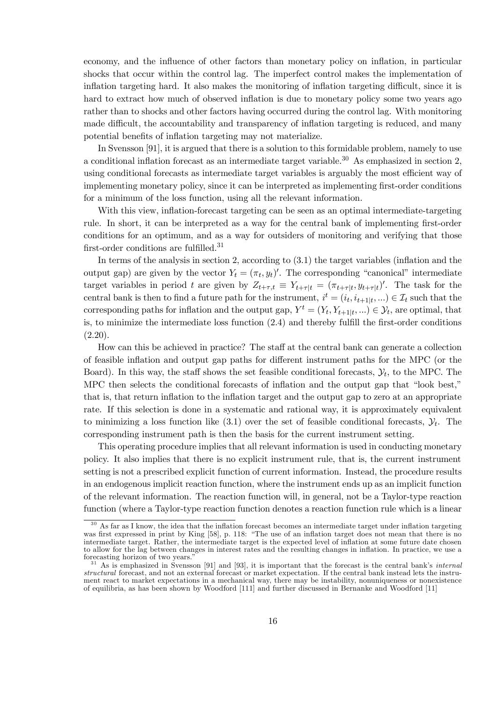economy, and the influence of other factors than monetary policy on inflation, in particular shocks that occur within the control lag. The imperfect control makes the implementation of inflation targeting hard. It also makes the monitoring of inflation targeting difficult, since it is hard to extract how much of observed inflation is due to monetary policy some two years ago rather than to shocks and other factors having occurred during the control lag. With monitoring made difficult, the accountability and transparency of inflation targeting is reduced, and many potential benefits of inflation targeting may not materialize.

In Svensson [91], it is argued that there is a solution to this formidable problem, namely to use a conditional inflation forecast as an intermediate target variable.<sup>30</sup> As emphasized in section 2, using conditional forecasts as intermediate target variables is arguably the most efficient way of implementing monetary policy, since it can be interpreted as implementing first-order conditions for a minimum of the loss function, using all the relevant information.

With this view, inflation-forecast targeting can be seen as an optimal intermediate-targeting rule. In short, it can be interpreted as a way for the central bank of implementing first-order conditions for an optimum, and as a way for outsiders of monitoring and verifying that those first-order conditions are fulfilled.<sup>31</sup>

In terms of the analysis in section 2, according to  $(3.1)$  the target variables (inflation and the output gap) are given by the vector  $Y_t = (\pi_t, y_t)'$ . The corresponding "canonical" intermediate target variables in period t are given by  $Z_{t+\tau,t} \equiv Y_{t+\tau|t} = (\pi_{t+\tau|t}, y_{t+\tau|t})'$ . The task for the central bank is then to find a future path for the instrument,  $i^t = (i_t, i_{t+1|t}, ...) \in \mathcal{I}_t$  such that the corresponding paths for inflation and the output gap,  $Y^t = (Y_t, Y_{t+1|t}, ...) \in \mathcal{Y}_t$ , are optimal, that is, to minimize the intermediate loss function  $(2.4)$  and thereby fulfill the first-order conditions  $(2.20).$ 

How can this be achieved in practice? The staff at the central bank can generate a collection of feasible inflation and output gap paths for different instrument paths for the MPC (or the Board). In this way, the staff shows the set feasible conditional forecasts,  $\mathcal{Y}_t$ , to the MPC. The MPC then selects the conditional forecasts of inflation and the output gap that "look best," that is, that return inflation to the inflation target and the output gap to zero at an appropriate rate. If this selection is done in a systematic and rational way, it is approximately equivalent to minimizing a loss function like (3.1) over the set of feasible conditional forecasts,  $\mathcal{Y}_t$ . The corresponding instrument path is then the basis for the current instrument setting.

This operating procedure implies that all relevant information is used in conducting monetary policy. It also implies that there is no explicit instrument rule, that is, the current instrument setting is not a prescribed explicit function of current information. Instead, the procedure results in an endogenous implicit reaction function, where the instrument ends up as an implicit function of the relevant information. The reaction function will, in general, not be a Taylor-type reaction function (where a Taylor-type reaction function denotes a reaction function rule which is a linear

 $30$  As far as I know, the idea that the inflation forecast becomes an intermediate target under inflation targeting was first expressed in print by King [58], p. 118: "The use of an inflation target does not mean that there is no intermediate target. Rather, the intermediate target is the expected level of ináation at some future date chosen to allow for the lag between changes in interest rates and the resulting changes in inflation. In practice, we use a forecasting horizon of two years."

 $\frac{31}{31}$  As is emphasized in Svensson [91] and [93], it is important that the forecast is the central bank's *internal* structural forecast, and not an external forecast or market expectation. If the central bank instead lets the instrument react to market expectations in a mechanical way, there may be instability, nonuniqueness or nonexistence of equilibria, as has been shown by Woodford [111] and further discussed in Bernanke and Woodford [11]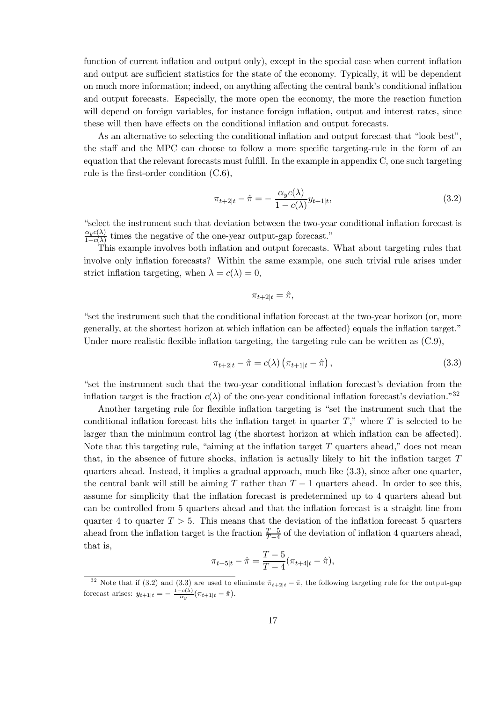function of current inflation and output only), except in the special case when current inflation and output are sufficient statistics for the state of the economy. Typically, it will be dependent on much more information; indeed, on anything affecting the central bank's conditional inflation and output forecasts. Especially, the more open the economy, the more the reaction function will depend on foreign variables, for instance foreign inflation, output and interest rates, since these will then have effects on the conditional inflation and output forecasts.

As an alternative to selecting the conditional inflation and output forecast that "look best". the staff and the MPC can choose to follow a more specific targeting-rule in the form of an equation that the relevant forecasts must fulfill. In the example in appendix C, one such targeting rule is the first-order condition  $(C.6)$ ,

$$
\pi_{t+2|t} - \hat{\pi} = -\frac{\alpha_y c(\lambda)}{1 - c(\lambda)} y_{t+1|t},\tag{3.2}
$$

"select the instrument such that deviation between the two-year conditional inflation forecast is  $\frac{\alpha_y c(\lambda)}{1-c(\lambda)}$  times the negative of the one-year output-gap forecast."

This example involves both inflation and output forecasts. What about targeting rules that involve only inflation forecasts? Within the same example, one such trivial rule arises under strict inflation targeting, when  $\lambda = c(\lambda) = 0$ ,

$$
\pi_{t+2|t} = \hat{\pi},
$$

"set the instrument such that the conditional inflation forecast at the two-year horizon (or, more generally, at the shortest horizon at which inflation can be affected) equals the inflation target." Under more realistic flexible inflation targeting, the targeting rule can be written as  $(C.9)$ ,

$$
\pi_{t+2|t} - \hat{\pi} = c(\lambda) \left( \pi_{t+1|t} - \hat{\pi} \right), \tag{3.3}
$$

"set the instrument such that the two-year conditional inflation forecast's deviation from the inflation target is the fraction  $c(\lambda)$  of the one-year conditional inflation forecast's deviation."<sup>32</sup>

Another targeting rule for flexible inflation targeting is "set the instrument such that the conditional inflation forecast hits the inflation target in quarter  $T$ ," where  $T$  is selected to be larger than the minimum control lag (the shortest horizon at which inflation can be affected). Note that this targeting rule, "aiming at the inflation target  $T$  quarters ahead," does not mean that, in the absence of future shocks, inflation is actually likely to hit the inflation target  $T$ quarters ahead. Instead, it implies a gradual approach, much like (3.3), since after one quarter, the central bank will still be aiming T rather than  $T-1$  quarters ahead. In order to see this, assume for simplicity that the inflation forecast is predetermined up to 4 quarters ahead but can be controlled from 5 quarters ahead and that the inflation forecast is a straight line from quarter 4 to quarter  $T > 5$ . This means that the deviation of the inflation forecast 5 quarters ahead from the inflation target is the fraction  $\frac{T-5}{T-4}$  of the deviation of inflation 4 quarters ahead, that is.

$$
\pi_{t+5|t} - \hat{\pi} = \frac{T-5}{T-4} (\pi_{t+4|t} - \hat{\pi}),
$$

<sup>&</sup>lt;sup>32</sup> Note that if (3.2) and (3.3) are used to eliminate  $\hat{\pi}_{t+2|t} - \hat{\pi}$ , the following targeting rule for the output-gap forecast arises:  $y_{t+1|t} = -\frac{1-c(\lambda)}{\alpha_y} (\pi_{t+1|t} - \hat{\pi}).$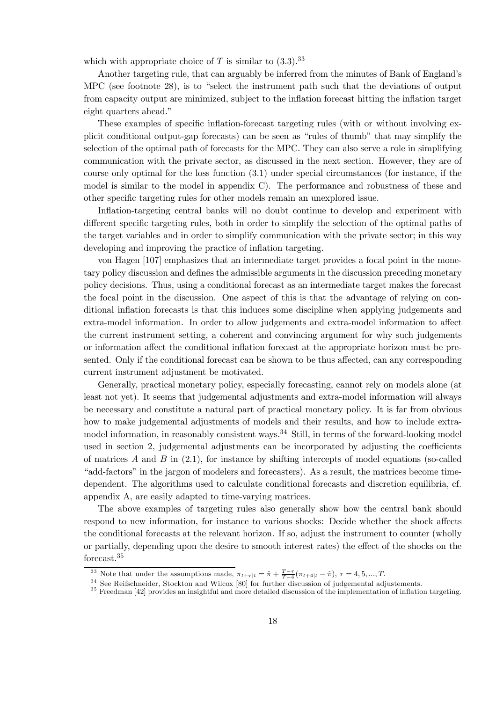which with appropriate choice of T is similar to  $(3.3)$ .<sup>33</sup>

Another targeting rule, that can arguably be inferred from the minutes of Bank of England's MPC (see footnote 28), is to "select the instrument path such that the deviations of output from capacity output are minimized, subject to the inflation forecast hitting the inflation target eight quarters ahead."

These examples of specific inflation-forecast targeting rules (with or without involving explicit conditional output-gap forecasts) can be seen as "rules of thumb" that may simplify the selection of the optimal path of forecasts for the MPC. They can also serve a role in simplifying communication with the private sector, as discussed in the next section. However, they are of course only optimal for the loss function (3.1) under special circumstances (for instance, if the model is similar to the model in appendix C). The performance and robustness of these and other speciÖc targeting rules for other models remain an unexplored issue.

Inflation-targeting central banks will no doubt continue to develop and experiment with different specific targeting rules, both in order to simplify the selection of the optimal paths of the target variables and in order to simplify communication with the private sector; in this way developing and improving the practice of inflation targeting.

von Hagen [107] emphasizes that an intermediate target provides a focal point in the monetary policy discussion and defines the admissible arguments in the discussion preceding monetary policy decisions. Thus, using a conditional forecast as an intermediate target makes the forecast the focal point in the discussion. One aspect of this is that the advantage of relying on conditional inflation forecasts is that this induces some discipline when applying judgements and extra-model information. In order to allow judgements and extra-model information to affect the current instrument setting, a coherent and convincing argument for why such judgements or information affect the conditional inflation forecast at the appropriate horizon must be presented. Only if the conditional forecast can be shown to be thus affected, can any corresponding current instrument adjustment be motivated.

Generally, practical monetary policy, especially forecasting, cannot rely on models alone (at least not yet). It seems that judgemental adjustments and extra-model information will always be necessary and constitute a natural part of practical monetary policy. It is far from obvious how to make judgemental adjustments of models and their results, and how to include extramodel information, in reasonably consistent ways. $34$  Still, in terms of the forward-looking model used in section 2, judgemental adjustments can be incorporated by adjusting the coefficients of matrices  $A$  and  $B$  in  $(2.1)$ , for instance by shifting intercepts of model equations (so-called ìadd-factorsî in the jargon of modelers and forecasters). As a result, the matrices become timedependent. The algorithms used to calculate conditional forecasts and discretion equilibria, cf. appendix A, are easily adapted to time-varying matrices.

The above examples of targeting rules also generally show how the central bank should respond to new information, for instance to various shocks: Decide whether the shock affects the conditional forecasts at the relevant horizon. If so, adjust the instrument to counter (wholly or partially, depending upon the desire to smooth interest rates) the effect of the shocks on the forecast.<sup>35</sup>

<sup>&</sup>lt;sup>33</sup> Note that under the assumptions made,  $\pi_{t+\tau|t} = \hat{\pi} + \frac{T-\tau}{T-4} (\pi_{t+4|t} - \hat{\pi}), \tau = 4, 5, ..., T$ .

 $34$  See Reifschneider, Stockton and Wilcox [80] for further discussion of judgemental adjustements.<br> $35$  Freedman [42] provides an insightful and more detailed discussion of the implementation of inflation targeting.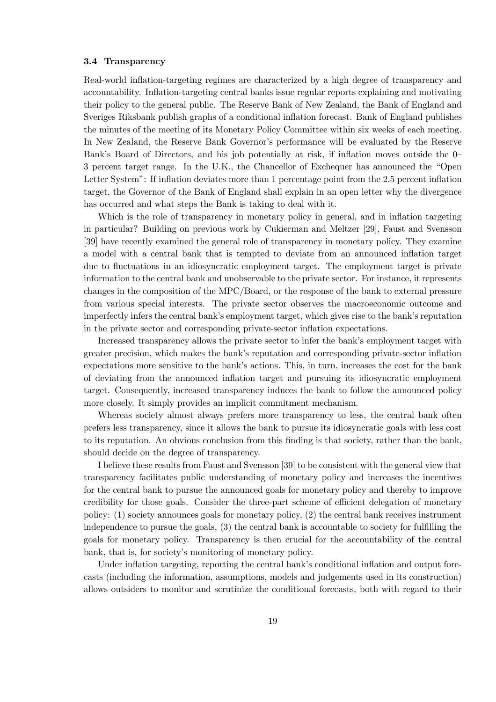#### 3.4 Transparency

Real-world inflation-targeting regimes are characterized by a high degree of transparency and accountability. Inflation-targeting central banks issue regular reports explaining and motivating their policy to the general public. The Reserve Bank of New Zealand, the Bank of England and Sveriges Riksbank publish graphs of a conditional inflation forecast. Bank of England publishes the minutes of the meeting of its Monetary Policy Committee within six weeks of each meeting. In New Zealand, the Reserve Bank Governor's performance will be evaluated by the Reserve Bank's Board of Directors, and his job potentially at risk, if inflation moves outside the 0 3 percent target range. In the U.K., the Chancellor of Exchequer has announced the "Open Letter System": If inflation deviates more than 1 percentage point from the 2.5 percent inflation target, the Governor of the Bank of England shall explain in an open letter why the divergence has occurred and what steps the Bank is taking to deal with it.

Which is the role of transparency in monetary policy in general, and in inflation targeting in particular? Building on previous work by Cukierman and Meltzer [29], Faust and Svensson [39] have recently examined the general role of transparency in monetary policy. They examine a model with a central bank that is tempted to deviate from an announced inflation target due to fluctuations in an idiosyncratic employment target. The employment target is private information to the central bank and unobservable to the private sector. For instance, it represents changes in the composition of the MPC/Board, or the response of the bank to external pressure from various special interests. The private sector observes the macroeconomic outcome and imperfectly infers the central bank's employment target, which gives rise to the bank's reputation in the private sector and corresponding private-sector ináation expectations.

Increased transparency allows the private sector to infer the bank's employment target with greater precision, which makes the bank's reputation and corresponding private-sector inflation expectations more sensitive to the bank's actions. This, in turn, increases the cost for the bank of deviating from the announced ináation target and pursuing its idiosyncratic employment target. Consequently, increased transparency induces the bank to follow the announced policy more closely. It simply provides an implicit commitment mechanism.

Whereas society almost always prefers more transparency to less, the central bank often prefers less transparency, since it allows the bank to pursue its idiosyncratic goals with less cost to its reputation. An obvious conclusion from this Önding is that society, rather than the bank, should decide on the degree of transparency.

I believe these results from Faust and Svensson [39] to be consistent with the general view that transparency facilitates public understanding of monetary policy and increases the incentives for the central bank to pursue the announced goals for monetary policy and thereby to improve credibility for those goals. Consider the three-part scheme of efficient delegation of monetary policy: (1) society announces goals for monetary policy, (2) the central bank receives instrument independence to pursue the goals,  $(3)$  the central bank is accountable to society for fulfilling the goals for monetary policy. Transparency is then crucial for the accountability of the central bank, that is, for society's monitoring of monetary policy.

Under inflation targeting, reporting the central bank's conditional inflation and output forecasts (including the information, assumptions, models and judgements used in its construction) allows outsiders to monitor and scrutinize the conditional forecasts, both with regard to their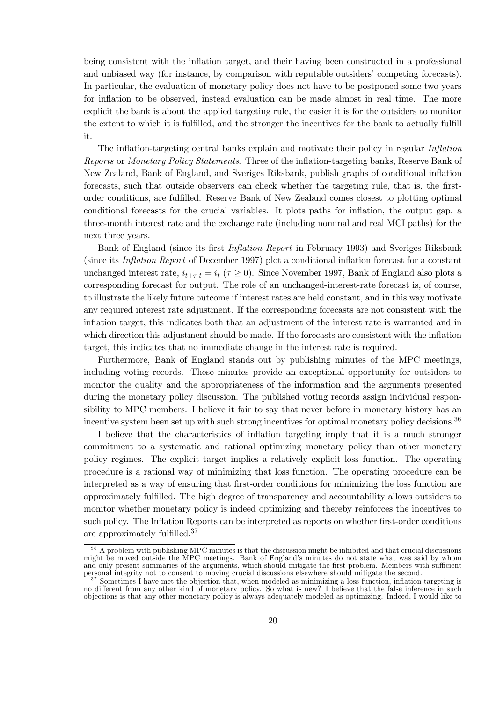being consistent with the ináation target, and their having been constructed in a professional and unbiased way (for instance, by comparison with reputable outsiders' competing forecasts). In particular, the evaluation of monetary policy does not have to be postponed some two years for inflation to be observed, instead evaluation can be made almost in real time. The more explicit the bank is about the applied targeting rule, the easier it is for the outsiders to monitor the extent to which it is fulfilled, and the stronger the incentives for the bank to actually fulfill it.

The inflation-targeting central banks explain and motivate their policy in regular Inflation Reports or Monetary Policy Statements. Three of the inflation-targeting banks, Reserve Bank of New Zealand, Bank of England, and Sveriges Riksbank, publish graphs of conditional inflation forecasts, such that outside observers can check whether the targeting rule, that is, the firstorder conditions, are fulfilled. Reserve Bank of New Zealand comes closest to plotting optimal conditional forecasts for the crucial variables. It plots paths for ináation, the output gap, a three-month interest rate and the exchange rate (including nominal and real MCI paths) for the next three years.

Bank of England (since its first *Inflation Report* in February 1993) and Sveriges Riksbank (since its Inflation Report of December 1997) plot a conditional inflation forecast for a constant unchanged interest rate,  $i_{t+\tau|t} = i_t$  ( $\tau \ge 0$ ). Since November 1997, Bank of England also plots a corresponding forecast for output. The role of an unchanged-interest-rate forecast is, of course, to illustrate the likely future outcome if interest rates are held constant, and in this way motivate any required interest rate adjustment. If the corresponding forecasts are not consistent with the inflation target, this indicates both that an adjustment of the interest rate is warranted and in which direction this adjustment should be made. If the forecasts are consistent with the inflation target, this indicates that no immediate change in the interest rate is required.

Furthermore, Bank of England stands out by publishing minutes of the MPC meetings, including voting records. These minutes provide an exceptional opportunity for outsiders to monitor the quality and the appropriateness of the information and the arguments presented during the monetary policy discussion. The published voting records assign individual responsibility to MPC members. I believe it fair to say that never before in monetary history has an incentive system been set up with such strong incentives for optimal monetary policy decisions.<sup>36</sup>

I believe that the characteristics of inflation targeting imply that it is a much stronger commitment to a systematic and rational optimizing monetary policy than other monetary policy regimes. The explicit target implies a relatively explicit loss function. The operating procedure is a rational way of minimizing that loss function. The operating procedure can be interpreted as a way of ensuring that first-order conditions for minimizing the loss function are approximately fulfilled. The high degree of transparency and accountability allows outsiders to monitor whether monetary policy is indeed optimizing and thereby reinforces the incentives to such policy. The Inflation Reports can be interpreted as reports on whether first-order conditions are approximately fulfilled. $37$ 

<sup>&</sup>lt;sup>36</sup> A problem with publishing MPC minutes is that the discussion might be inhibited and that crucial discussions might be moved outside the MPC meetings. Bank of England's minutes do not state what was said by whom and only present summaries of the arguments, which should mitigate the first problem. Members with sufficient<br>personal integrity not to consent to moving crucial discussions elsewhere should mitigate the second.

 $37$  Sometimes I have met the objection that, when modeled as minimizing a loss function, inflation targeting is no different from any other kind of monetary policy. So what is new? I believe that the false inference in such objections is that any other monetary policy is always adequately modeled as optimizing. Indeed, I would like to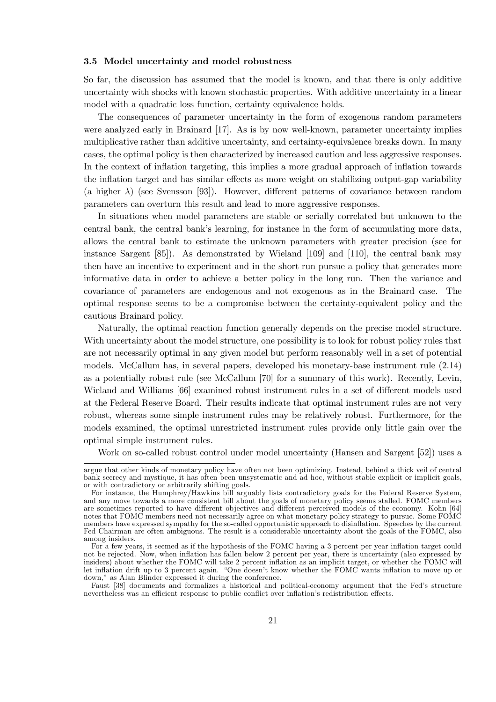## 3.5 Model uncertainty and model robustness

So far, the discussion has assumed that the model is known, and that there is only additive uncertainty with shocks with known stochastic properties. With additive uncertainty in a linear model with a quadratic loss function, certainty equivalence holds.

The consequences of parameter uncertainty in the form of exogenous random parameters were analyzed early in Brainard [17]. As is by now well-known, parameter uncertainty implies multiplicative rather than additive uncertainty, and certainty-equivalence breaks down. In many cases, the optimal policy is then characterized by increased caution and less aggressive responses. In the context of inflation targeting, this implies a more gradual approach of inflation towards the inflation target and has similar effects as more weight on stabilizing output-gap variability (a higher  $\lambda$ ) (see Svensson [93]). However, different patterns of covariance between random parameters can overturn this result and lead to more aggressive responses.

In situations when model parameters are stable or serially correlated but unknown to the central bank, the central bankís learning, for instance in the form of accumulating more data, allows the central bank to estimate the unknown parameters with greater precision (see for instance Sargent [85]). As demonstrated by Wieland [109] and [110], the central bank may then have an incentive to experiment and in the short run pursue a policy that generates more informative data in order to achieve a better policy in the long run. Then the variance and covariance of parameters are endogenous and not exogenous as in the Brainard case. The optimal response seems to be a compromise between the certainty-equivalent policy and the cautious Brainard policy.

Naturally, the optimal reaction function generally depends on the precise model structure. With uncertainty about the model structure, one possibility is to look for robust policy rules that are not necessarily optimal in any given model but perform reasonably well in a set of potential models. McCallum has, in several papers, developed his monetary-base instrument rule (2.14) as a potentially robust rule (see McCallum [70] for a summary of this work). Recently, Levin, Wieland and Williams [66] examined robust instrument rules in a set of different models used at the Federal Reserve Board. Their results indicate that optimal instrument rules are not very robust, whereas some simple instrument rules may be relatively robust. Furthermore, for the models examined, the optimal unrestricted instrument rules provide only little gain over the optimal simple instrument rules.

Work on so-called robust control under model uncertainty (Hansen and Sargent [52]) uses a

argue that other kinds of monetary policy have often not been optimizing. Instead, behind a thick veil of central bank secrecy and mystique, it has often been unsystematic and ad hoc, without stable explicit or implicit goals, or with contradictory or arbitrarily shifting goals.

For instance, the Humphrey/Hawkins bill arguably lists contradictory goals for the Federal Reserve System, and any move towards a more consistent bill about the goals of monetary policy seems stalled. FOMC members are sometimes reported to have different objectives and different perceived models of the economy. Kohn [64] notes that FOMC members need not necessarily agree on what monetary policy strategy to pursue. Some FOMC members have expressed sympathy for the so-called opportunistic approach to disináation. Speeches by the current Fed Chairman are often ambiguous. The result is a considerable uncertainty about the goals of the FOMC, also among insiders.

For a few years, it seemed as if the hypothesis of the FOMC having a 3 percent per year inflation target could not be rejected. Now, when ináation has fallen below 2 percent per year, there is uncertainty (also expressed by insiders) about whether the FOMC will take 2 percent inflation as an implicit target, or whether the FOMC will let inflation drift up to 3 percent again. "One doesn't know whether the FOMC wants inflation to move up or down," as Alan Blinder expressed it during the conference.

Faust [38] documents and formalizes a historical and political-economy argument that the Fed's structure nevertheless was an efficient response to public conflict over inflation's redistribution effects.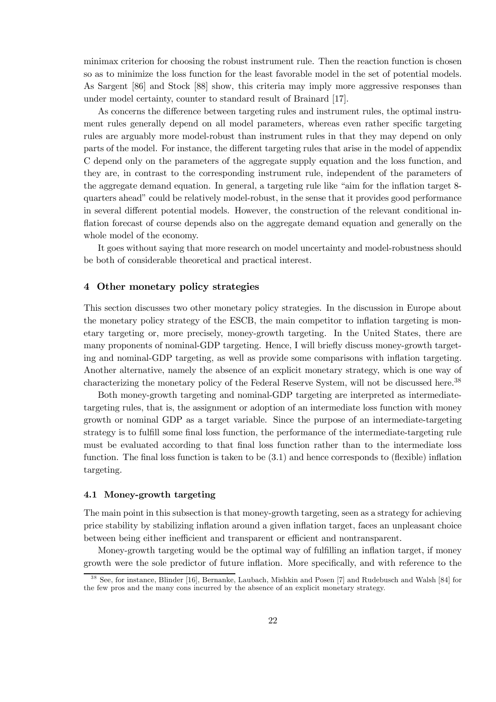minimax criterion for choosing the robust instrument rule. Then the reaction function is chosen so as to minimize the loss function for the least favorable model in the set of potential models. As Sargent [86] and Stock [88] show, this criteria may imply more aggressive responses than under model certainty, counter to standard result of Brainard [17].

As concerns the difference between targeting rules and instrument rules, the optimal instrument rules generally depend on all model parameters, whereas even rather specific targeting rules are arguably more model-robust than instrument rules in that they may depend on only parts of the model. For instance, the different targeting rules that arise in the model of appendix C depend only on the parameters of the aggregate supply equation and the loss function, and they are, in contrast to the corresponding instrument rule, independent of the parameters of the aggregate demand equation. In general, a targeting rule like "aim for the inflation target 8quarters aheadî could be relatively model-robust, in the sense that it provides good performance in several different potential models. However, the construction of the relevant conditional inflation forecast of course depends also on the aggregate demand equation and generally on the whole model of the economy.

It goes without saying that more research on model uncertainty and model-robustness should be both of considerable theoretical and practical interest.

## 4 Other monetary policy strategies

This section discusses two other monetary policy strategies. In the discussion in Europe about the monetary policy strategy of the ESCB, the main competitor to ináation targeting is monetary targeting or, more precisely, money-growth targeting. In the United States, there are many proponents of nominal-GDP targeting. Hence, I will briefly discuss money-growth targeting and nominal-GDP targeting, as well as provide some comparisons with inflation targeting. Another alternative, namely the absence of an explicit monetary strategy, which is one way of characterizing the monetary policy of the Federal Reserve System, will not be discussed here.<sup>38</sup>

Both money-growth targeting and nominal-GDP targeting are interpreted as intermediatetargeting rules, that is, the assignment or adoption of an intermediate loss function with money growth or nominal GDP as a target variable. Since the purpose of an intermediate-targeting strategy is to fulfill some final loss function, the performance of the intermediate-targeting rule must be evaluated according to that final loss function rather than to the intermediate loss function. The final loss function is taken to be  $(3.1)$  and hence corresponds to (flexible) inflation targeting.

## 4.1 Money-growth targeting

The main point in this subsection is that money-growth targeting, seen as a strategy for achieving price stability by stabilizing inflation around a given inflation target, faces an unpleasant choice between being either inefficient and transparent or efficient and nontransparent.

Money-growth targeting would be the optimal way of fulfilling an inflation target, if money growth were the sole predictor of future inflation. More specifically, and with reference to the

<sup>&</sup>lt;sup>38</sup> See, for instance, Blinder [16], Bernanke, Laubach, Mishkin and Posen [7] and Rudebusch and Walsh [84] for the few pros and the many cons incurred by the absence of an explicit monetary strategy.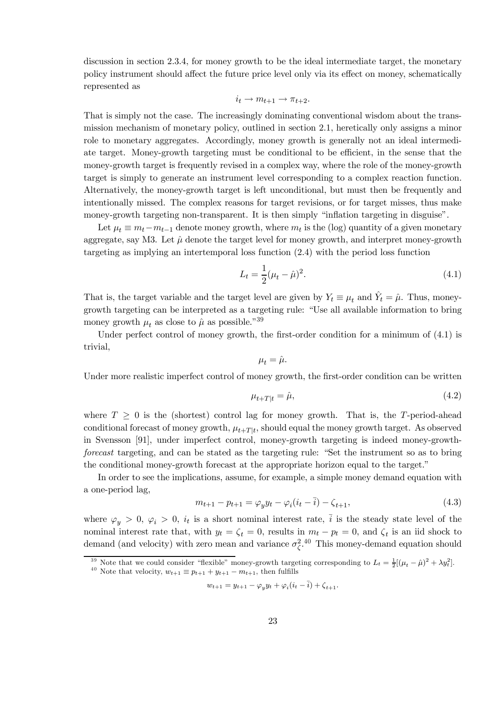discussion in section 2.3.4, for money growth to be the ideal intermediate target, the monetary policy instrument should affect the future price level only via its effect on money, schematically represented as

$$
i_t \to m_{t+1} \to \pi_{t+2}.
$$

That is simply not the case. The increasingly dominating conventional wisdom about the transmission mechanism of monetary policy, outlined in section 2.1, heretically only assigns a minor role to monetary aggregates. Accordingly, money growth is generally not an ideal intermediate target. Money-growth targeting must be conditional to be efficient, in the sense that the money-growth target is frequently revised in a complex way, where the role of the money-growth target is simply to generate an instrument level corresponding to a complex reaction function. Alternatively, the money-growth target is left unconditional, but must then be frequently and intentionally missed. The complex reasons for target revisions, or for target misses, thus make money-growth targeting non-transparent. It is then simply "inflation targeting in disguise".

Let  $\mu_t \equiv m_t - m_{t-1}$  denote money growth, where  $m_t$  is the (log) quantity of a given monetary aggregate, say M3. Let  $\hat{\mu}$  denote the target level for money growth, and interpret money-growth targeting as implying an intertemporal loss function (2.4) with the period loss function

$$
L_t = \frac{1}{2}(\mu_t - \hat{\mu})^2.
$$
\n(4.1)

That is, the target variable and the target level are given by  $Y_t \equiv \mu_t$  and  $\hat{Y}_t = \hat{\mu}$ . Thus, moneygrowth targeting can be interpreted as a targeting rule: "Use all available information to bring money growth  $\mu_t$  as close to  $\hat{\mu}$  as possible.<sup>739</sup>

Under perfect control of money growth, the first-order condition for a minimum of  $(4.1)$  is trivial,

$$
\mu_t = \hat{\mu}.
$$

Under more realistic imperfect control of money growth, the first-order condition can be written

$$
\mu_{t+T|t} = \hat{\mu},\tag{4.2}
$$

where  $T \geq 0$  is the (shortest) control lag for money growth. That is, the T-period-ahead conditional forecast of money growth,  $\mu_{t+T|t}$ , should equal the money growth target. As observed in Svensson [91], under imperfect control, money-growth targeting is indeed money-growthforecast targeting, and can be stated as the targeting rule: "Set the instrument so as to bring the conditional money-growth forecast at the appropriate horizon equal to the target.<sup>"</sup>

In order to see the implications, assume, for example, a simple money demand equation with a one-period lag,

$$
m_{t+1} - p_{t+1} = \varphi_y y_t - \varphi_i (i_t - \bar{i}) - \zeta_{t+1},
$$
\n(4.3)

where  $\varphi_y > 0$ ,  $\varphi_i > 0$ ,  $i_t$  is a short nominal interest rate,  $\overline{i}$  is the steady state level of the nominal interest rate that, with  $y_t = \zeta_t = 0$ , results in  $m_t - p_t = 0$ , and  $\zeta_t$  is an iid shock to demand (and velocity) with zero mean and variance  $\sigma_{\zeta}^{2.40}$ . This money-demand equation should

<sup>39</sup> Note that we could consider "flexible" money-growth targeting corresponding to  $L_t = \frac{1}{2} [(\mu_t - \hat{\mu})^2 + \lambda y_t^2]$ .

$$
w_{t+1} = y_{t+1} - \varphi_y y_t + \varphi_i (i_t - \overline{i}) + \zeta_{t+1}.
$$

<sup>&</sup>lt;sup>40</sup> Note that velocity,  $w_{t+1} \equiv p_{t+1} + y_{t+1} - m_{t+1}$ , then fulfills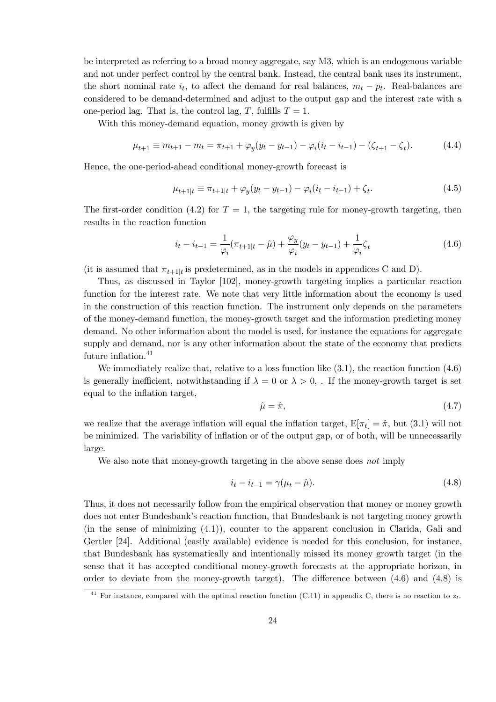be interpreted as referring to a broad money aggregate, say M3, which is an endogenous variable and not under perfect control by the central bank. Instead, the central bank uses its instrument, the short nominal rate  $i_t$ , to affect the demand for real balances,  $m_t - p_t$ . Real-balances are considered to be demand-determined and adjust to the output gap and the interest rate with a one-period lag. That is, the control lag, T, fulfills  $T = 1$ .

With this money-demand equation, money growth is given by

$$
\mu_{t+1} \equiv m_{t+1} - m_t = \pi_{t+1} + \varphi_y(y_t - y_{t-1}) - \varphi_i(i_t - i_{t-1}) - (\zeta_{t+1} - \zeta_t). \tag{4.4}
$$

Hence, the one-period-ahead conditional money-growth forecast is

$$
\mu_{t+1|t} \equiv \pi_{t+1|t} + \varphi_y(y_t - y_{t-1}) - \varphi_i(i_t - i_{t-1}) + \zeta_t.
$$
\n(4.5)

The first-order condition (4.2) for  $T = 1$ , the targeting rule for money-growth targeting, then results in the reaction function

$$
i_t - i_{t-1} = \frac{1}{\varphi_i} (\pi_{t+1|t} - \hat{\mu}) + \frac{\varphi_y}{\varphi_i} (y_t - y_{t-1}) + \frac{1}{\varphi_i} \zeta_t
$$
\n(4.6)

(it is assumed that  $\pi_{t+1|t}$  is predetermined, as in the models in appendices C and D).

Thus, as discussed in Taylor [102], money-growth targeting implies a particular reaction function for the interest rate. We note that very little information about the economy is used in the construction of this reaction function. The instrument only depends on the parameters of the money-demand function, the money-growth target and the information predicting money demand. No other information about the model is used, for instance the equations for aggregate supply and demand, nor is any other information about the state of the economy that predicts future inflation. $41$ 

We immediately realize that, relative to a loss function like  $(3.1)$ , the reaction function  $(4.6)$ is generally inefficient, notwithstanding if  $\lambda = 0$  or  $\lambda > 0$ , . If the money-growth target is set equal to the inflation target,

$$
\hat{\mu} = \hat{\pi},\tag{4.7}
$$

we realize that the average inflation will equal the inflation target,  $E[\pi_t]=\hat{\pi}$ , but (3.1) will not be minimized. The variability of inflation or of the output gap, or of both, will be unnecessarily large.

We also note that money-growth targeting in the above sense does not imply

$$
i_t - i_{t-1} = \gamma(\mu_t - \hat{\mu}).
$$
\n(4.8)

Thus, it does not necessarily follow from the empirical observation that money or money growth does not enter Bundesbank's reaction function, that Bundesbank is not targeting money growth (in the sense of minimizing (4.1)), counter to the apparent conclusion in Clarida, Gali and Gertler [24]. Additional (easily available) evidence is needed for this conclusion, for instance, that Bundesbank has systematically and intentionally missed its money growth target (in the sense that it has accepted conditional money-growth forecasts at the appropriate horizon, in order to deviate from the money-growth target). The difference between  $(4.6)$  and  $(4.8)$  is

<sup>&</sup>lt;sup>41</sup> For instance, compared with the optimal reaction function (C.11) in appendix C, there is no reaction to  $z_t$ .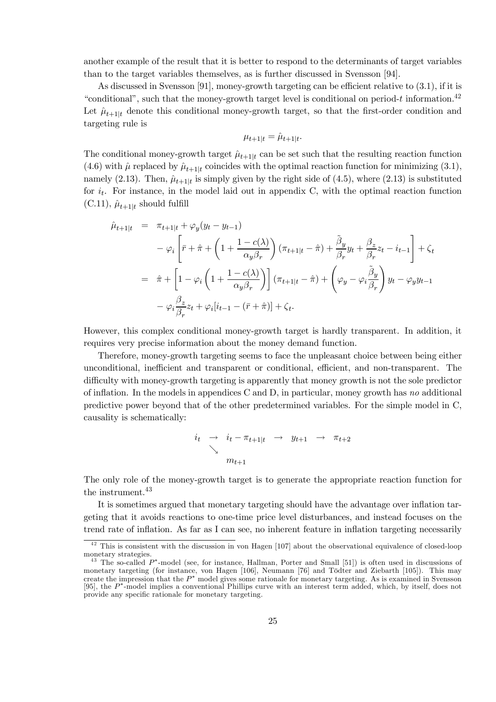another example of the result that it is better to respond to the determinants of target variables than to the target variables themselves, as is further discussed in Svensson [94].

As discussed in Svensson [91], money-growth targeting can be efficient relative to  $(3.1)$ , if it is "conditional", such that the money-growth target level is conditional on period-t information.<sup>42</sup> Let  $\hat{\mu}_{t+1|t}$  denote this conditional money-growth target, so that the first-order condition and targeting rule is

$$
\mu_{t+1|t} = \hat{\mu}_{t+1|t}.
$$

The conditional money-growth target  $\hat{\mu}_{t+1|t}$  can be set such that the resulting reaction function (4.6) with  $\hat{\mu}$  replaced by  $\hat{\mu}_{t+1|t}$  coincides with the optimal reaction function for minimizing (3.1), namely (2.13). Then,  $\hat{\mu}_{t+1|t}$  is simply given by the right side of (4.5), where (2.13) is substituted for  $i_t$ . For instance, in the model laid out in appendix C, with the optimal reaction function  $(C.11), \hat{\mu}_{t+1|t}$  should fulfill

$$
\hat{\mu}_{t+1|t} = \pi_{t+1|t} + \varphi_y(y_t - y_{t-1})
$$
\n
$$
-\varphi_i \left[ \bar{r} + \hat{\pi} + \left( 1 + \frac{1 - c(\lambda)}{\alpha_y \beta_r} \right) (\pi_{t+1|t} - \hat{\pi}) + \frac{\tilde{\beta}_y}{\beta_r} y_t + \frac{\beta_z}{\beta_r} z_t - i_{t-1} \right] + \zeta_t
$$
\n
$$
= \hat{\pi} + \left[ 1 - \varphi_i \left( 1 + \frac{1 - c(\lambda)}{\alpha_y \beta_r} \right) \right] (\pi_{t+1|t} - \hat{\pi}) + \left( \varphi_y - \varphi_i \frac{\tilde{\beta}_y}{\beta_r} \right) y_t - \varphi_y y_{t-1}
$$
\n
$$
- \varphi_i \frac{\beta_z}{\beta_r} z_t + \varphi_i [i_{t-1} - (\bar{r} + \hat{\pi})] + \zeta_t.
$$

However, this complex conditional money-growth target is hardly transparent. In addition, it requires very precise information about the money demand function.

Therefore, money-growth targeting seems to face the unpleasant choice between being either unconditional, inefficient and transparent or conditional, efficient, and non-transparent. The difficulty with money-growth targeting is apparently that money growth is not the sole predictor of inflation. In the models in appendices C and D, in particular, money growth has no additional predictive power beyond that of the other predetermined variables. For the simple model in C, causality is schematically:

$$
i_t \rightarrow i_t - \pi_{t+1|t} \rightarrow y_{t+1} \rightarrow \pi_{t+2}
$$
  
\n
$$
\searrow
$$
  
\n
$$
m_{t+1}
$$

The only role of the money-growth target is to generate the appropriate reaction function for the instrument.<sup>43</sup>

It is sometimes argued that monetary targeting should have the advantage over inflation targeting that it avoids reactions to one-time price level disturbances, and instead focuses on the trend rate of inflation. As far as I can see, no inherent feature in inflation targeting necessarily

 $42$  This is consistent with the discussion in von Hagen [107] about the observational equivalence of closed-loop monetary strategies.<br><sup>43</sup> The so-called  $P^*$ -model (see, for instance, Hallman, Porter and Small [51]) is often used in discussions of

monetary targeting (for instance, von Hagen [106], Neumann [76] and Tödter and Ziebarth [105]). This may create the impression that the  $P^*$  model gives some rationale for monetary targeting. As is examined in Svensson [95], the P<sup>\*</sup>-model implies a conventional Phillips curve with an interest term added, which, by itself, does not provide any specific rationale for monetary targeting.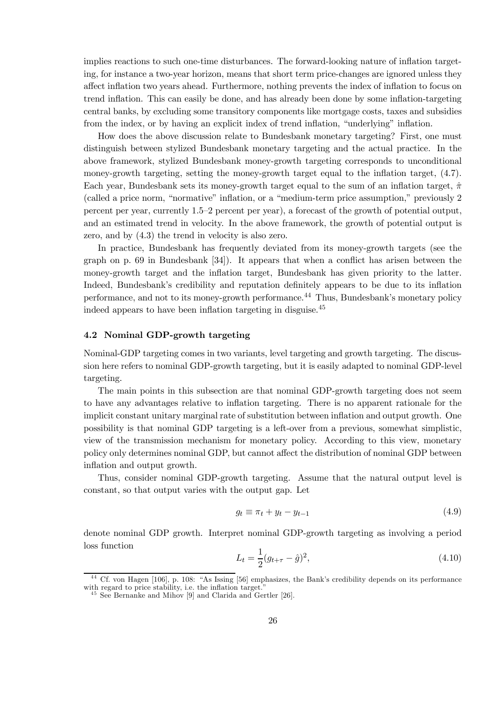implies reactions to such one-time disturbances. The forward-looking nature of inflation targeting, for instance a two-year horizon, means that short term price-changes are ignored unless they affect inflation two years ahead. Furthermore, nothing prevents the index of inflation to focus on trend inflation. This can easily be done, and has already been done by some inflation-targeting central banks, by excluding some transitory components like mortgage costs, taxes and subsidies from the index, or by having an explicit index of trend inflation, "underlying" inflation.

How does the above discussion relate to Bundesbank monetary targeting? First, one must distinguish between stylized Bundesbank monetary targeting and the actual practice. In the above framework, stylized Bundesbank money-growth targeting corresponds to unconditional money-growth targeting, setting the money-growth target equal to the inflation target,  $(4.7)$ . Each year, Bundesbank sets its money-growth target equal to the sum of an inflation target,  $\hat{\pi}$  $\alpha$  (called a price norm, "normative" inflation, or a "medium-term price assumption," previously 2 percent per year, currently  $1.5-2$  percent per year), a forecast of the growth of potential output, and an estimated trend in velocity. In the above framework, the growth of potential output is zero, and by (4.3) the trend in velocity is also zero.

In practice, Bundesbank has frequently deviated from its money-growth targets (see the graph on p.  $69$  in Bundesbank  $[34]$ . It appears that when a conflict has arisen between the money-growth target and the inflation target, Bundesbank has given priority to the latter. Indeed, Bundesbank's credibility and reputation definitely appears to be due to its inflation performance, and not to its money-growth performance.<sup>44</sup> Thus, Bundesbank's monetary policy indeed appears to have been inflation targeting in disguise.<sup>45</sup>

## 4.2 Nominal GDP-growth targeting

Nominal-GDP targeting comes in two variants, level targeting and growth targeting. The discussion here refers to nominal GDP-growth targeting, but it is easily adapted to nominal GDP-level targeting.

The main points in this subsection are that nominal GDP-growth targeting does not seem to have any advantages relative to inflation targeting. There is no apparent rationale for the implicit constant unitary marginal rate of substitution between ináation and output growth. One possibility is that nominal GDP targeting is a left-over from a previous, somewhat simplistic, view of the transmission mechanism for monetary policy. According to this view, monetary policy only determines nominal GDP, but cannot affect the distribution of nominal GDP between inflation and output growth.

Thus, consider nominal GDP-growth targeting. Assume that the natural output level is constant, so that output varies with the output gap. Let

$$
g_t \equiv \pi_t + y_t - y_{t-1} \tag{4.9}
$$

denote nominal GDP growth. Interpret nominal GDP-growth targeting as involving a period loss function

$$
L_t = \frac{1}{2}(g_{t+\tau} - \hat{g})^2,\tag{4.10}
$$

<sup>&</sup>lt;sup>44</sup> Cf. von Hagen [106], p. 108: "As Issing [56] emphasizes, the Bank's credibility depends on its performance with regard to price stability, i.e. the inflation target."

 $^{45}$  See Bernanke and Mihov [9] and Clarida and Gertler [26].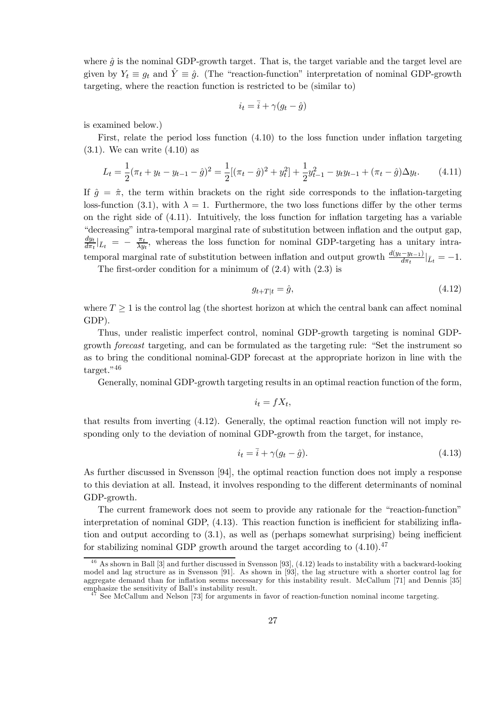where  $\hat{g}$  is the nominal GDP-growth target. That is, the target variable and the target level are given by  $Y_t \equiv g_t$  and  $\hat{Y} \equiv \hat{g}$ . (The "reaction-function" interpretation of nominal GDP-growth targeting, where the reaction function is restricted to be (similar to)

$$
i_t = \overline{i} + \gamma (g_t - \hat{g})
$$

is examined below.)

First, relate the period loss function  $(4.10)$  to the loss function under inflation targeting  $(3.1)$ . We can write  $(4.10)$  as

$$
L_t = \frac{1}{2}(\pi_t + y_t - y_{t-1} - \hat{g})^2 = \frac{1}{2}[(\pi_t - \hat{g})^2 + y_t^2] + \frac{1}{2}y_{t-1}^2 - y_t y_{t-1} + (\pi_t - \hat{g})\Delta y_t.
$$
 (4.11)

If  $\hat{g} = \hat{\pi}$ , the term within brackets on the right side corresponds to the inflation-targeting loss-function (3.1), with  $\lambda = 1$ . Furthermore, the two loss functions differ by the other terms on the right side of  $(4.11)$ . Intuitively, the loss function for inflation targeting has a variable "decreasing" intra-temporal marginal rate of substitution between inflation and the output gap, dy<sup>t</sup>  $\frac{dy_t}{d\pi_t}$   $\bar{L}_t$  =  $-\frac{\pi_t}{\lambda y_t}$ , whereas the loss function for nominal GDP-targeting has a unitary intratemporal marginal rate of substitution between inflation and output growth  $\frac{d(y_t-y_{t-1})}{d\pi_t}|_{\bar{L}_t} = -1$ .

The first-order condition for a minimum of  $(2.4)$  with  $(2.3)$  is

$$
g_{t+T|t} = \hat{g},\tag{4.12}
$$

where  $T \geq 1$  is the control lag (the shortest horizon at which the central bank can affect nominal GDP).

Thus, under realistic imperfect control, nominal GDP-growth targeting is nominal GDPgrowth *forecast* targeting, and can be formulated as the targeting rule: "Set the instrument so as to bring the conditional nominal-GDP forecast at the appropriate horizon in line with the  $tareet.$ <sup> $,46$ </sup>

Generally, nominal GDP-growth targeting results in an optimal reaction function of the form,

$$
i_t = fX_t,
$$

that results from inverting (4.12). Generally, the optimal reaction function will not imply responding only to the deviation of nominal GDP-growth from the target, for instance,

$$
i_t = \overline{i} + \gamma(g_t - \hat{g}).\tag{4.13}
$$

As further discussed in Svensson [94], the optimal reaction function does not imply a response to this deviation at all. Instead, it involves responding to the different determinants of nominal GDP-growth.

The current framework does not seem to provide any rationale for the "reaction-function" interpretation of nominal GDP,  $(4.13)$ . This reaction function is inefficient for stabilizing inflation and output according to  $(3.1)$ , as well as (perhaps somewhat surprising) being inefficient for stabilizing nominal GDP growth around the target according to  $(4.10).<sup>47</sup>$ 

 $46$  As shown in Ball [3] and further discussed in Svensson [93], (4.12) leads to instability with a backward-looking model and lag structure as in Svensson [91]. As shown in [93], the lag structure with a shorter control lag for aggregate demand than for inflation seems necessary for this instability result. McCallum [71] and Dennis [35] emphasize the sensitivity of Ball's instability result.

<sup>&</sup>lt;sup>7</sup> See McCallum and Nelson [73] for arguments in favor of reaction-function nominal income targeting.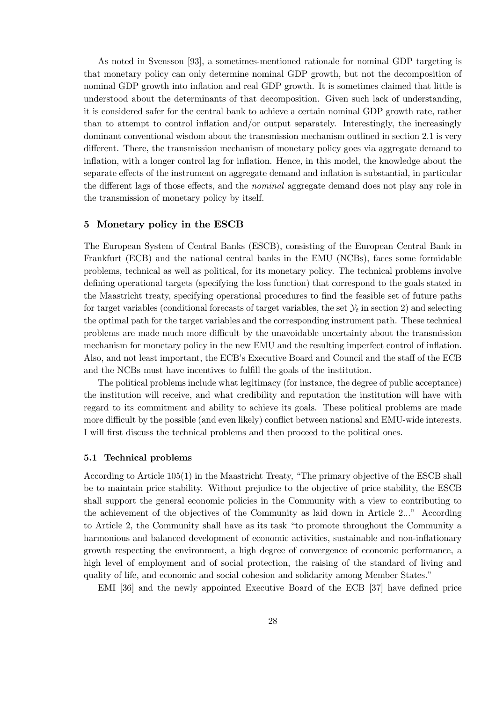As noted in Svensson [93], a sometimes-mentioned rationale for nominal GDP targeting is that monetary policy can only determine nominal GDP growth, but not the decomposition of nominal GDP growth into inflation and real GDP growth. It is sometimes claimed that little is understood about the determinants of that decomposition. Given such lack of understanding, it is considered safer for the central bank to achieve a certain nominal GDP growth rate, rather than to attempt to control inflation and/or output separately. Interestingly, the increasingly dominant conventional wisdom about the transmission mechanism outlined in section 2.1 is very different. There, the transmission mechanism of monetary policy goes via aggregate demand to inflation, with a longer control lag for inflation. Hence, in this model, the knowledge about the separate effects of the instrument on aggregate demand and inflation is substantial, in particular the different lags of those effects, and the *nominal* aggregate demand does not play any role in the transmission of monetary policy by itself.

## 5 Monetary policy in the ESCB

The European System of Central Banks (ESCB), consisting of the European Central Bank in Frankfurt (ECB) and the national central banks in the EMU (NCBs), faces some formidable problems, technical as well as political, for its monetary policy. The technical problems involve defining operational targets (specifying the loss function) that correspond to the goals stated in the Maastricht treaty, specifying operational procedures to find the feasible set of future paths for target variables (conditional forecasts of target variables, the set  $\mathcal{Y}_t$  in section 2) and selecting the optimal path for the target variables and the corresponding instrument path. These technical problems are made much more difficult by the unavoidable uncertainty about the transmission mechanism for monetary policy in the new EMU and the resulting imperfect control of inflation. Also, and not least important, the ECB's Executive Board and Council and the staff of the ECB and the NCBs must have incentives to fulfill the goals of the institution.

The political problems include what legitimacy (for instance, the degree of public acceptance) the institution will receive, and what credibility and reputation the institution will have with regard to its commitment and ability to achieve its goals. These political problems are made more difficult by the possible (and even likely) conflict between national and EMU-wide interests. I will first discuss the technical problems and then proceed to the political ones.

#### 5.1 Technical problems

According to Article  $105(1)$  in the Maastricht Treaty, "The primary objective of the ESCB shall be to maintain price stability. Without prejudice to the objective of price stability, the ESCB shall support the general economic policies in the Community with a view to contributing to the achievement of the objectives of the Community as laid down in Article 2..." According to Article 2, the Community shall have as its task "to promote throughout the Community a harmonious and balanced development of economic activities, sustainable and non-inflationary growth respecting the environment, a high degree of convergence of economic performance, a high level of employment and of social protection, the raising of the standard of living and quality of life, and economic and social cohesion and solidarity among Member States.<sup>"</sup>

EMI [36] and the newly appointed Executive Board of the ECB [37] have defined price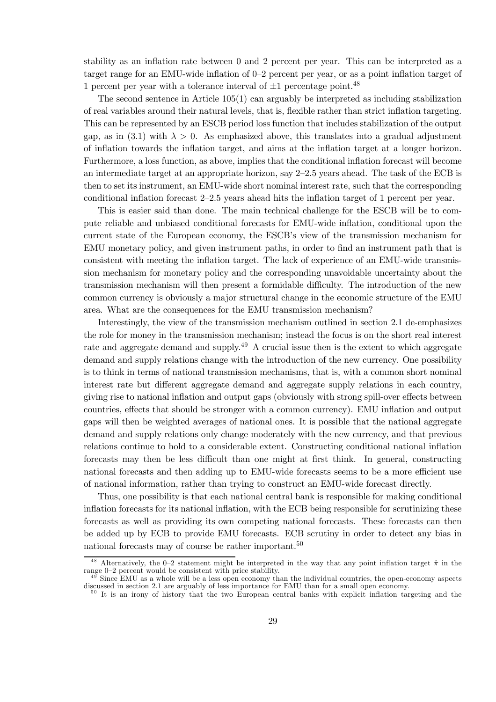stability as an inflation rate between  $0$  and  $2$  percent per year. This can be interpreted as a target range for an EMU-wide inflation of  $0-2$  percent per year, or as a point inflation target of 1 percent per year with a tolerance interval of  $\pm 1$  percentage point.<sup>48</sup>

The second sentence in Article  $105(1)$  can arguably be interpreted as including stabilization of real variables around their natural levels, that is, áexible rather than strict ináation targeting. This can be represented by an ESCB period loss function that includes stabilization of the output gap, as in (3.1) with  $\lambda > 0$ . As emphasized above, this translates into a gradual adjustment of ináation towards the ináation target, and aims at the ináation target at a longer horizon. Furthermore, a loss function, as above, implies that the conditional ináation forecast will become an intermediate target at an appropriate horizon, say  $2-2.5$  years ahead. The task of the ECB is then to set its instrument, an EMU-wide short nominal interest rate, such that the corresponding conditional inflation forecast  $2-2.5$  years ahead hits the inflation target of 1 percent per year.

This is easier said than done. The main technical challenge for the ESCB will be to compute reliable and unbiased conditional forecasts for EMU-wide ináation, conditional upon the current state of the European economy, the ESCB's view of the transmission mechanism for EMU monetary policy, and given instrument paths, in order to find an instrument path that is consistent with meeting the ináation target. The lack of experience of an EMU-wide transmission mechanism for monetary policy and the corresponding unavoidable uncertainty about the transmission mechanism will then present a formidable difficulty. The introduction of the new common currency is obviously a major structural change in the economic structure of the EMU area. What are the consequences for the EMU transmission mechanism?

Interestingly, the view of the transmission mechanism outlined in section 2.1 de-emphasizes the role for money in the transmission mechanism; instead the focus is on the short real interest rate and aggregate demand and supply.<sup>49</sup> A crucial issue then is the extent to which aggregate demand and supply relations change with the introduction of the new currency. One possibility is to think in terms of national transmission mechanisms, that is, with a common short nominal interest rate but different aggregate demand and aggregate supply relations in each country, giving rise to national inflation and output gaps (obviously with strong spill-over effects between countries, effects that should be stronger with a common currency). EMU inflation and output gaps will then be weighted averages of national ones. It is possible that the national aggregate demand and supply relations only change moderately with the new currency, and that previous relations continue to hold to a considerable extent. Constructing conditional national inflation forecasts may then be less difficult than one might at first think. In general, constructing national forecasts and then adding up to EMU-wide forecasts seems to be a more efficient use of national information, rather than trying to construct an EMU-wide forecast directly.

Thus, one possibility is that each national central bank is responsible for making conditional inflation forecasts for its national inflation, with the ECB being responsible for scrutinizing these forecasts as well as providing its own competing national forecasts. These forecasts can then be added up by ECB to provide EMU forecasts. ECB scrutiny in order to detect any bias in national forecasts may of course be rather important.<sup>50</sup>

<sup>&</sup>lt;sup>48</sup> Alternatively, the 0–2 statement might be interpreted in the way that any point inflation target  $\hat{\pi}$  in the range 0–2 percent would be consistent with price stability.

 $49$  Since EMU as a whole will be a less open economy than the individual countries, the open-economy aspects discussed in section 2.1 are arguably of less importance for EMU than for a small open economy.

 $\frac{50}{11}$  It is an irony of history that the two European central banks with explicit inflation targeting and the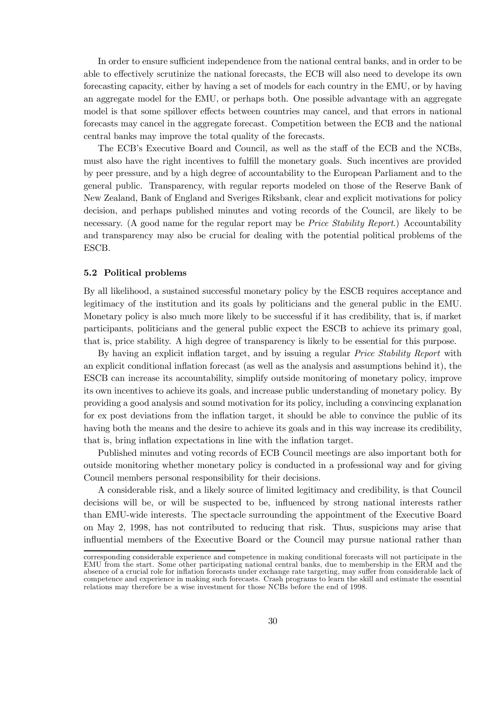In order to ensure sufficient independence from the national central banks, and in order to be able to effectively scrutinize the national forecasts, the ECB will also need to develope its own forecasting capacity, either by having a set of models for each country in the EMU, or by having an aggregate model for the EMU, or perhaps both. One possible advantage with an aggregate model is that some spillover effects between countries may cancel, and that errors in national forecasts may cancel in the aggregate forecast. Competition between the ECB and the national central banks may improve the total quality of the forecasts.

The ECB's Executive Board and Council, as well as the staff of the ECB and the NCBs, must also have the right incentives to fulfill the monetary goals. Such incentives are provided by peer pressure, and by a high degree of accountability to the European Parliament and to the general public. Transparency, with regular reports modeled on those of the Reserve Bank of New Zealand, Bank of England and Sveriges Riksbank, clear and explicit motivations for policy decision, and perhaps published minutes and voting records of the Council, are likely to be necessary. (A good name for the regular report may be *Price Stability Report*.) Accountability and transparency may also be crucial for dealing with the potential political problems of the ESCB.

#### 5.2 Political problems

By all likelihood, a sustained successful monetary policy by the ESCB requires acceptance and legitimacy of the institution and its goals by politicians and the general public in the EMU. Monetary policy is also much more likely to be successful if it has credibility, that is, if market participants, politicians and the general public expect the ESCB to achieve its primary goal, that is, price stability. A high degree of transparency is likely to be essential for this purpose.

By having an explicit inflation target, and by issuing a regular *Price Stability Report* with an explicit conditional ináation forecast (as well as the analysis and assumptions behind it), the ESCB can increase its accountability, simplify outside monitoring of monetary policy, improve its own incentives to achieve its goals, and increase public understanding of monetary policy. By providing a good analysis and sound motivation for its policy, including a convincing explanation for ex post deviations from the inflation target, it should be able to convince the public of its having both the means and the desire to achieve its goals and in this way increase its credibility, that is, bring inflation expectations in line with the inflation target.

Published minutes and voting records of ECB Council meetings are also important both for outside monitoring whether monetary policy is conducted in a professional way and for giving Council members personal responsibility for their decisions.

A considerable risk, and a likely source of limited legitimacy and credibility, is that Council decisions will be, or will be suspected to be, influenced by strong national interests rather than EMU-wide interests. The spectacle surrounding the appointment of the Executive Board on May 2, 1998, has not contributed to reducing that risk. Thus, suspicions may arise that influential members of the Executive Board or the Council may pursue national rather than

corresponding considerable experience and competence in making conditional forecasts will not participate in the EMU from the start. Some other participating national central banks, due to membership in the ERM and the absence of a crucial role for inflation forecasts under exchange rate targeting, may suffer from considerable lack of competence and experience in making such forecasts. Crash programs to learn the skill and estimate the essential relations may therefore be a wise investment for those NCBs before the end of 1998.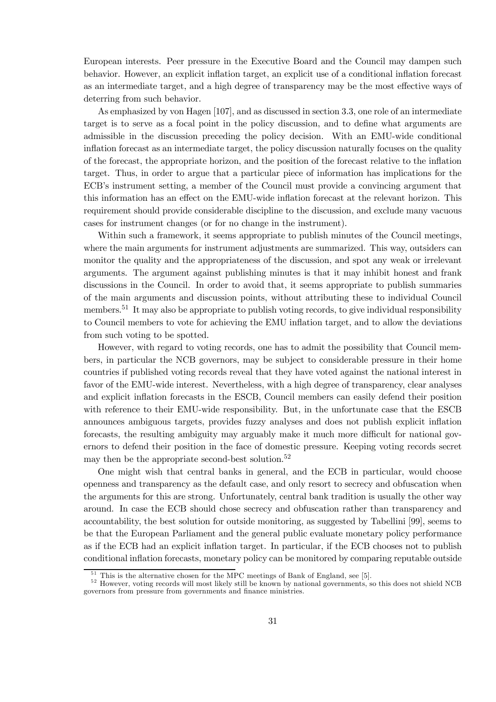European interests. Peer pressure in the Executive Board and the Council may dampen such behavior. However, an explicit inflation target, an explicit use of a conditional inflation forecast as an intermediate target, and a high degree of transparency may be the most effective ways of deterring from such behavior.

As emphasized by von Hagen [107], and as discussed in section 3.3, one role of an intermediate target is to serve as a focal point in the policy discussion, and to define what arguments are admissible in the discussion preceding the policy decision. With an EMU-wide conditional inflation forecast as an intermediate target, the policy discussion naturally focuses on the quality of the forecast, the appropriate horizon, and the position of the forecast relative to the ináation target. Thus, in order to argue that a particular piece of information has implications for the ECB's instrument setting, a member of the Council must provide a convincing argument that this information has an effect on the EMU-wide inflation forecast at the relevant horizon. This requirement should provide considerable discipline to the discussion, and exclude many vacuous cases for instrument changes (or for no change in the instrument).

Within such a framework, it seems appropriate to publish minutes of the Council meetings, where the main arguments for instrument adjustments are summarized. This way, outsiders can monitor the quality and the appropriateness of the discussion, and spot any weak or irrelevant arguments. The argument against publishing minutes is that it may inhibit honest and frank discussions in the Council. In order to avoid that, it seems appropriate to publish summaries of the main arguments and discussion points, without attributing these to individual Council members.<sup>51</sup> It may also be appropriate to publish voting records, to give individual responsibility to Council members to vote for achieving the EMU inflation target, and to allow the deviations from such voting to be spotted.

However, with regard to voting records, one has to admit the possibility that Council members, in particular the NCB governors, may be subject to considerable pressure in their home countries if published voting records reveal that they have voted against the national interest in favor of the EMU-wide interest. Nevertheless, with a high degree of transparency, clear analyses and explicit ináation forecasts in the ESCB, Council members can easily defend their position with reference to their EMU-wide responsibility. But, in the unfortunate case that the ESCB announces ambiguous targets, provides fuzzy analyses and does not publish explicit inflation forecasts, the resulting ambiguity may arguably make it much more difficult for national governors to defend their position in the face of domestic pressure. Keeping voting records secret may then be the appropriate second-best solution.<sup>52</sup>

One might wish that central banks in general, and the ECB in particular, would choose openness and transparency as the default case, and only resort to secrecy and obfuscation when the arguments for this are strong. Unfortunately, central bank tradition is usually the other way around. In case the ECB should chose secrecy and obfuscation rather than transparency and accountability, the best solution for outside monitoring, as suggested by Tabellini [99], seems to be that the European Parliament and the general public evaluate monetary policy performance as if the ECB had an explicit ináation target. In particular, if the ECB chooses not to publish conditional inflation forecasts, monetary policy can be monitored by comparing reputable outside

 $51$  This is the alternative chosen for the MPC meetings of Bank of England, see [5].<br> $52$  However, voting records will most likely still be known by national governments, so this does not shield NCB governors from pressure from governments and Önance ministries.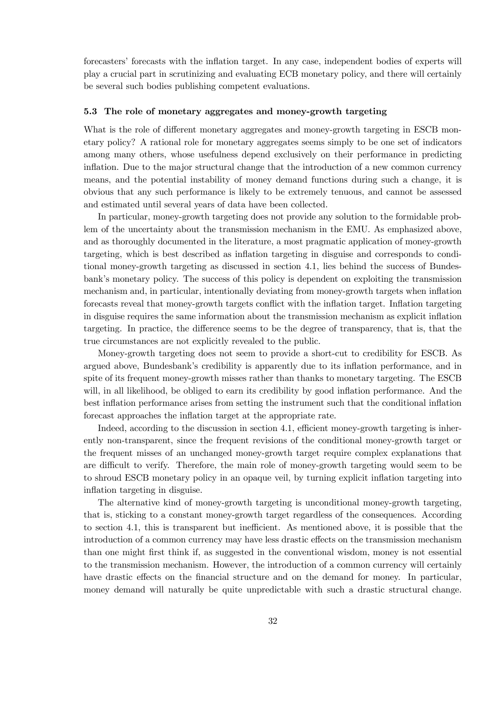forecasters' forecasts with the inflation target. In any case, independent bodies of experts will play a crucial part in scrutinizing and evaluating ECB monetary policy, and there will certainly be several such bodies publishing competent evaluations.

#### 5.3 The role of monetary aggregates and money-growth targeting

What is the role of different monetary aggregates and money-growth targeting in ESCB monetary policy? A rational role for monetary aggregates seems simply to be one set of indicators among many others, whose usefulness depend exclusively on their performance in predicting inflation. Due to the major structural change that the introduction of a new common currency means, and the potential instability of money demand functions during such a change, it is obvious that any such performance is likely to be extremely tenuous, and cannot be assessed and estimated until several years of data have been collected.

In particular, money-growth targeting does not provide any solution to the formidable problem of the uncertainty about the transmission mechanism in the EMU. As emphasized above, and as thoroughly documented in the literature, a most pragmatic application of money-growth targeting, which is best described as inflation targeting in disguise and corresponds to conditional money-growth targeting as discussed in section 4.1, lies behind the success of Bundesbank's monetary policy. The success of this policy is dependent on exploiting the transmission mechanism and, in particular, intentionally deviating from money-growth targets when inflation forecasts reveal that money-growth targets conflict with the inflation target. Inflation targeting in disguise requires the same information about the transmission mechanism as explicit inflation targeting. In practice, the difference seems to be the degree of transparency, that is, that the true circumstances are not explicitly revealed to the public.

Money-growth targeting does not seem to provide a short-cut to credibility for ESCB. As argued above, Bundesbank's credibility is apparently due to its inflation performance, and in spite of its frequent money-growth misses rather than thanks to monetary targeting. The ESCB will, in all likelihood, be obliged to earn its credibility by good inflation performance. And the best inflation performance arises from setting the instrument such that the conditional inflation forecast approaches the inflation target at the appropriate rate.

Indeed, according to the discussion in section 4.1, efficient money-growth targeting is inherently non-transparent, since the frequent revisions of the conditional money-growth target or the frequent misses of an unchanged money-growth target require complex explanations that are difficult to verify. Therefore, the main role of money-growth targeting would seem to be to shroud ESCB monetary policy in an opaque veil, by turning explicit ináation targeting into inflation targeting in disguise.

The alternative kind of money-growth targeting is unconditional money-growth targeting, that is, sticking to a constant money-growth target regardless of the consequences. According to section 4.1, this is transparent but inefficient. As mentioned above, it is possible that the introduction of a common currency may have less drastic effects on the transmission mechanism than one might first think if, as suggested in the conventional wisdom, money is not essential to the transmission mechanism. However, the introduction of a common currency will certainly have drastic effects on the financial structure and on the demand for money. In particular, money demand will naturally be quite unpredictable with such a drastic structural change.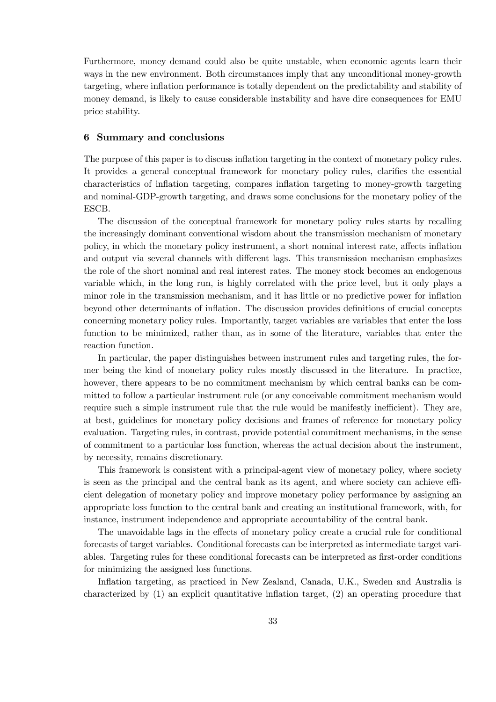Furthermore, money demand could also be quite unstable, when economic agents learn their ways in the new environment. Both circumstances imply that any unconditional money-growth targeting, where ináation performance is totally dependent on the predictability and stability of money demand, is likely to cause considerable instability and have dire consequences for EMU price stability.

#### 6 Summary and conclusions

The purpose of this paper is to discuss inflation targeting in the context of monetary policy rules. It provides a general conceptual framework for monetary policy rules, clarifies the essential characteristics of ináation targeting, compares ináation targeting to money-growth targeting and nominal-GDP-growth targeting, and draws some conclusions for the monetary policy of the ESCB.

The discussion of the conceptual framework for monetary policy rules starts by recalling the increasingly dominant conventional wisdom about the transmission mechanism of monetary policy, in which the monetary policy instrument, a short nominal interest rate, affects inflation and output via several channels with different lags. This transmission mechanism emphasizes the role of the short nominal and real interest rates. The money stock becomes an endogenous variable which, in the long run, is highly correlated with the price level, but it only plays a minor role in the transmission mechanism, and it has little or no predictive power for inflation beyond other determinants of inflation. The discussion provides definitions of crucial concepts concerning monetary policy rules. Importantly, target variables are variables that enter the loss function to be minimized, rather than, as in some of the literature, variables that enter the reaction function.

In particular, the paper distinguishes between instrument rules and targeting rules, the former being the kind of monetary policy rules mostly discussed in the literature. In practice, however, there appears to be no commitment mechanism by which central banks can be committed to follow a particular instrument rule (or any conceivable commitment mechanism would require such a simple instrument rule that the rule would be manifestly inefficient). They are, at best, guidelines for monetary policy decisions and frames of reference for monetary policy evaluation. Targeting rules, in contrast, provide potential commitment mechanisms, in the sense of commitment to a particular loss function, whereas the actual decision about the instrument, by necessity, remains discretionary.

This framework is consistent with a principal-agent view of monetary policy, where society is seen as the principal and the central bank as its agent, and where society can achieve efficient delegation of monetary policy and improve monetary policy performance by assigning an appropriate loss function to the central bank and creating an institutional framework, with, for instance, instrument independence and appropriate accountability of the central bank.

The unavoidable lags in the effects of monetary policy create a crucial rule for conditional forecasts of target variables. Conditional forecasts can be interpreted as intermediate target variables. Targeting rules for these conditional forecasts can be interpreted as first-order conditions for minimizing the assigned loss functions.

Inflation targeting, as practiced in New Zealand, Canada, U.K., Sweden and Australia is characterized by  $(1)$  an explicit quantitative inflation target,  $(2)$  an operating procedure that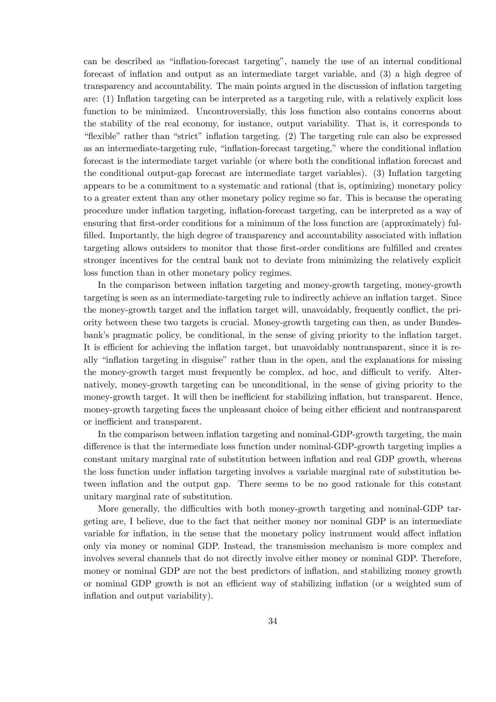can be described as "inflation-forecast targeting", namely the use of an internal conditional forecast of inflation and output as an intermediate target variable, and (3) a high degree of transparency and accountability. The main points argued in the discussion of ináation targeting are: (1) Inflation targeting can be interpreted as a targeting rule, with a relatively explicit loss function to be minimized. Uncontroversially, this loss function also contains concerns about the stability of the real economy, for instance, output variability. That is, it corresponds to "flexible" rather than "strict" inflation targeting. (2) The targeting rule can also be expressed as an intermediate-targeting rule, "inflation-forecast targeting," where the conditional inflation forecast is the intermediate target variable (or where both the conditional inflation forecast and the conditional output-gap forecast are intermediate target variables). (3) Inflation targeting appears to be a commitment to a systematic and rational (that is, optimizing) monetary policy to a greater extent than any other monetary policy regime so far. This is because the operating procedure under ináation targeting, ináation-forecast targeting, can be interpreted as a way of ensuring that first-order conditions for a minimum of the loss function are (approximately) fulfilled. Importantly, the high degree of transparency and accountability associated with inflation targeting allows outsiders to monitor that those first-order conditions are fulfilled and creates stronger incentives for the central bank not to deviate from minimizing the relatively explicit loss function than in other monetary policy regimes.

In the comparison between ináation targeting and money-growth targeting, money-growth targeting is seen as an intermediate-targeting rule to indirectly achieve an ináation target. Since the money-growth target and the inflation target will, unavoidably, frequently conflict, the priority between these two targets is crucial. Money-growth targeting can then, as under Bundesbank's pragmatic policy, be conditional, in the sense of giving priority to the inflation target. It is efficient for achieving the inflation target, but unavoidably nontransparent, since it is really "inflation targeting in disguise" rather than in the open, and the explanations for missing the money-growth target must frequently be complex, ad hoc, and difficult to verify. Alternatively, money-growth targeting can be unconditional, in the sense of giving priority to the money-growth target. It will then be inefficient for stabilizing inflation, but transparent. Hence, money-growth targeting faces the unpleasant choice of being either efficient and nontransparent or inefficient and transparent.

In the comparison between inflation targeting and nominal-GDP-growth targeting, the main difference is that the intermediate loss function under nominal-GDP-growth targeting implies a constant unitary marginal rate of substitution between inflation and real GDP growth, whereas the loss function under inflation targeting involves a variable marginal rate of substitution between inflation and the output gap. There seems to be no good rationale for this constant unitary marginal rate of substitution.

More generally, the difficulties with both money-growth targeting and nominal-GDP targeting are, I believe, due to the fact that neither money nor nominal GDP is an intermediate variable for inflation, in the sense that the monetary policy instrument would affect inflation only via money or nominal GDP. Instead, the transmission mechanism is more complex and involves several channels that do not directly involve either money or nominal GDP. Therefore, money or nominal GDP are not the best predictors of inflation, and stabilizing money growth or nominal GDP growth is not an efficient way of stabilizing inflation (or a weighted sum of inflation and output variability).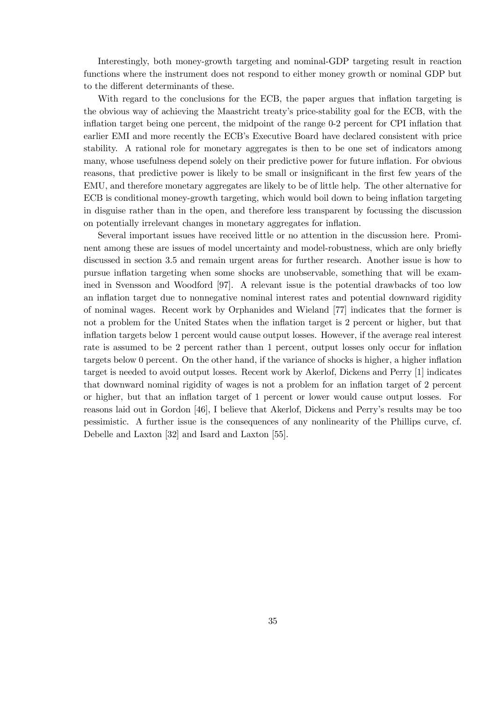Interestingly, both money-growth targeting and nominal-GDP targeting result in reaction functions where the instrument does not respond to either money growth or nominal GDP but to the different determinants of these.

With regard to the conclusions for the ECB, the paper argues that inflation targeting is the obvious way of achieving the Maastricht treatyís price-stability goal for the ECB, with the inflation target being one percent, the midpoint of the range 0-2 percent for CPI inflation that earlier EMI and more recently the ECB's Executive Board have declared consistent with price stability. A rational role for monetary aggregates is then to be one set of indicators among many, whose usefulness depend solely on their predictive power for future inflation. For obvious reasons, that predictive power is likely to be small or insignificant in the first few years of the EMU, and therefore monetary aggregates are likely to be of little help. The other alternative for ECB is conditional money-growth targeting, which would boil down to being inflation targeting in disguise rather than in the open, and therefore less transparent by focussing the discussion on potentially irrelevant changes in monetary aggregates for inflation.

Several important issues have received little or no attention in the discussion here. Prominent among these are issues of model uncertainty and model-robustness, which are only briefly discussed in section 3.5 and remain urgent areas for further research. Another issue is how to pursue ináation targeting when some shocks are unobservable, something that will be examined in Svensson and Woodford [97]. A relevant issue is the potential drawbacks of too low an inflation target due to nonnegative nominal interest rates and potential downward rigidity of nominal wages. Recent work by Orphanides and Wieland [77] indicates that the former is not a problem for the United States when the inflation target is 2 percent or higher, but that ináation targets below 1 percent would cause output losses. However, if the average real interest rate is assumed to be 2 percent rather than 1 percent, output losses only occur for inflation targets below 0 percent. On the other hand, if the variance of shocks is higher, a higher inflation target is needed to avoid output losses. Recent work by Akerlof, Dickens and Perry [1] indicates that downward nominal rigidity of wages is not a problem for an ináation target of 2 percent or higher, but that an ináation target of 1 percent or lower would cause output losses. For reasons laid out in Gordon [46], I believe that Akerlof, Dickens and Perryís results may be too pessimistic. A further issue is the consequences of any nonlinearity of the Phillips curve, cf. Debelle and Laxton [32] and Isard and Laxton [55].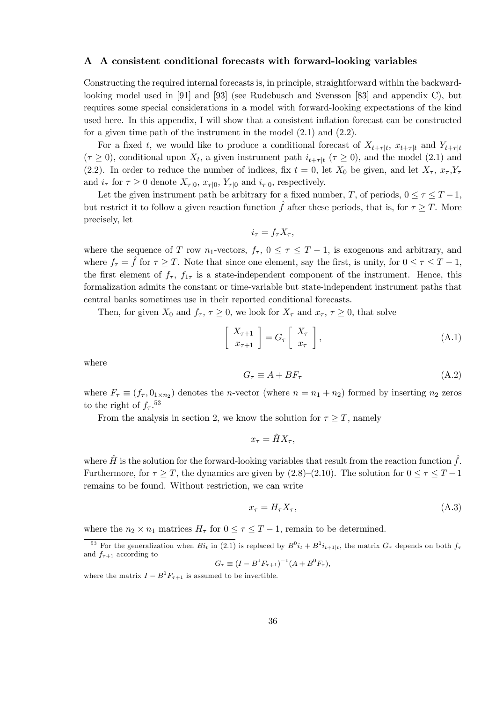## A A consistent conditional forecasts with forward-looking variables

Constructing the required internal forecasts is, in principle, straightforward within the backwardlooking model used in [91] and [93] (see Rudebusch and Svensson [83] and appendix C), but requires some special considerations in a model with forward-looking expectations of the kind used here. In this appendix, I will show that a consistent inflation forecast can be constructed for a given time path of the instrument in the model (2.1) and (2.2).

For a fixed t, we would like to produce a conditional forecast of  $X_{t+\tau|t}$ ,  $x_{t+\tau|t}$  and  $Y_{t+\tau|t}$  $(\tau \geq 0)$ , conditional upon  $X_t$ , a given instrument path  $i_{t+\tau|t}$  ( $\tau \geq 0$ ), and the model (2.1) and (2.2). In order to reduce the number of indices, fix  $t = 0$ , let  $X_0$  be given, and let  $X_{\tau}$ ,  $x_{\tau}$ ,  $Y_{\tau}$ and  $i_{\tau}$  for  $\tau \geq 0$  denote  $X_{\tau|0}$ ,  $x_{\tau|0}$ ,  $Y_{\tau|0}$  and  $i_{\tau|0}$ , respectively.

Let the given instrument path be arbitrary for a fixed number, T, of periods,  $0 \leq \tau \leq T-1$ , but restrict it to follow a given reaction function  $\hat{f}$  after these periods, that is, for  $\tau \geq T$ . More precisely, let

$$
i_{\tau} = f_{\tau} X_{\tau},
$$

where the sequence of T row n<sub>1</sub>-vectors,  $f_{\tau}$ ,  $0 \leq \tau \leq T-1$ , is exogenous and arbitrary, and where  $f_{\tau} = \hat{f}$  for  $\tau \geq T$ . Note that since one element, say the first, is unity, for  $0 \leq \tau \leq T - 1$ , the first element of  $f_{\tau}$ ,  $f_{1\tau}$  is a state-independent component of the instrument. Hence, this formalization admits the constant or time-variable but state-independent instrument paths that central banks sometimes use in their reported conditional forecasts.

Then, for given  $X_0$  and  $f_\tau, \tau \geq 0$ , we look for  $X_\tau$  and  $x_\tau, \tau \geq 0$ , that solve

$$
\begin{bmatrix} X_{\tau+1} \\ x_{\tau+1} \end{bmatrix} = G_{\tau} \begin{bmatrix} X_{\tau} \\ x_{\tau} \end{bmatrix},
$$
\n(A.1)

where

$$
G_{\tau} \equiv A + BF_{\tau} \tag{A.2}
$$

where  $F_{\tau} \equiv (f_{\tau}, 0_{1 \times n_2})$  denotes the *n*-vector (where  $n = n_1 + n_2$ ) formed by inserting  $n_2$  zeros to the right of  $f_\tau$ .<sup>53</sup>

From the analysis in section 2, we know the solution for  $\tau \geq T$ , namely

$$
x_{\tau} = \hat{H}X_{\tau},
$$

where  $\hat{H}$  is the solution for the forward-looking variables that result from the reaction function  $\hat{f}$ . Furthermore, for  $\tau \geq T$ , the dynamics are given by (2.8)–(2.10). The solution for  $0 \leq \tau \leq T-1$ remains to be found. Without restriction, we can write

$$
x_{\tau} = H_{\tau} X_{\tau},\tag{A.3}
$$

where the  $n_2 \times n_1$  matrices  $H_{\tau}$  for  $0 \leq \tau \leq T-1$ , remain to be determined.

$$
G_{\tau} \equiv (I - B^1 F_{\tau+1})^{-1} (A + B^0 F_{\tau}),
$$

where the matrix  $I - B^1 F_{\tau+1}$  is assumed to be invertible.

<sup>&</sup>lt;sup>53</sup> For the generalization when  $Bi_t$  in (2.1) is replaced by  $B^0i_t + B^1i_{t+1|t}$ , the matrix  $G_\tau$  depends on both  $f_\tau$ and  $f_{\tau+1}$  according to  $^{-1}$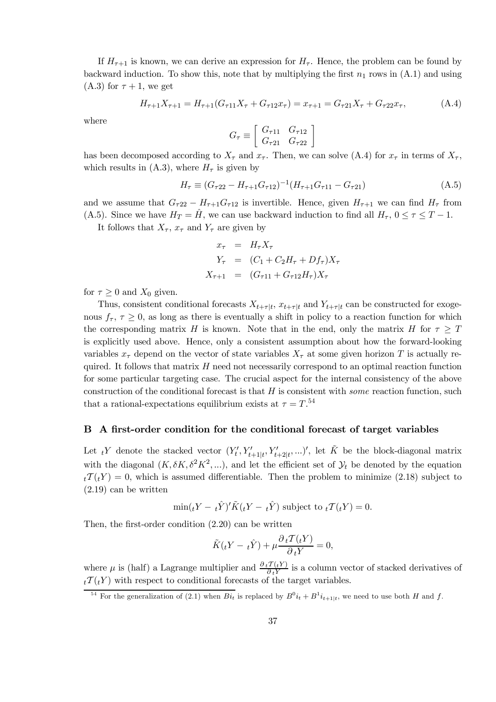If  $H_{\tau+1}$  is known, we can derive an expression for  $H_{\tau}$ . Hence, the problem can be found by backward induction. To show this, note that by multiplying the first  $n_1$  rows in  $(A.1)$  and using  $(A.3)$  for  $\tau + 1$ , we get

$$
H_{\tau+1}X_{\tau+1} = H_{\tau+1}(G_{\tau+1}X_{\tau} + G_{\tau+2}x_{\tau}) = x_{\tau+1} = G_{\tau+2}X_{\tau} + G_{\tau+2}x_{\tau}, \tag{A.4}
$$

where

$$
G_{\tau} \equiv \left[ \begin{array}{cc} G_{\tau 11} & G_{\tau 12} \\ G_{\tau 21} & G_{\tau 22} \end{array} \right]
$$

has been decomposed according to  $X_{\tau}$  and  $x_{\tau}$ . Then, we can solve (A.4) for  $x_{\tau}$  in terms of  $X_{\tau}$ , which results in (A.3), where  $H_{\tau}$  is given by

$$
H_{\tau} \equiv (G_{\tau 22} - H_{\tau+1} G_{\tau 12})^{-1} (H_{\tau+1} G_{\tau 11} - G_{\tau 21})
$$
\n(A.5)

and we assume that  $G_{\tau 22} - H_{\tau+1}G_{\tau 12}$  is invertible. Hence, given  $H_{\tau+1}$  we can find  $H_{\tau}$  from (A.5). Since we have  $H_T = \hat{H}$ , we can use backward induction to find all  $H_{\tau}$ ,  $0 \le \tau \le T - 1$ .

It follows that  $X_{\tau}$ ,  $x_{\tau}$  and  $Y_{\tau}$  are given by

$$
x_{\tau} = H_{\tau} X_{\tau}
$$
  
\n
$$
Y_{\tau} = (C_1 + C_2 H_{\tau} + D f_{\tau}) X_{\tau}
$$
  
\n
$$
X_{\tau+1} = (G_{\tau 11} + G_{\tau 12} H_{\tau}) X_{\tau}
$$

for  $\tau \geq 0$  and  $X_0$  given.

Thus, consistent conditional forecasts  $X_{t+\tau|t}$ ,  $x_{t+\tau|t}$  and  $Y_{t+\tau|t}$  can be constructed for exogenous  $f_{\tau}$ ,  $\tau \geq 0$ , as long as there is eventually a shift in policy to a reaction function for which the corresponding matrix H is known. Note that in the end, only the matrix H for  $\tau \geq T$ is explicitly used above. Hence, only a consistent assumption about how the forward-looking variables  $x_{\tau}$  depend on the vector of state variables  $X_{\tau}$  at some given horizon T is actually required. It follows that matrix  $H$  need not necessarily correspond to an optimal reaction function for some particular targeting case. The crucial aspect for the internal consistency of the above construction of the conditional forecast is that  $H$  is consistent with *some* reaction function, such that a rational-expectations equilibrium exists at  $\tau = T^{.54}$ 

## B A first-order condition for the conditional forecast of target variables

Let  ${}_tY$  denote the stacked vector  $(Y'_t, Y'_{t+1|t}, Y'_{t+2|t}, ...)$ , let  $\tilde{K}$  be the block-diagonal matrix with the diagonal  $(K, \delta K, \delta^2 K^2, ...)$ , and let the efficient set of  $\mathcal{Y}_t$  be denoted by the equation  $t\tau(T(tY) = 0$ , which is assumed differentiable. Then the problem to minimize (2.18) subject to (2.19) can be written

$$
\min(tY - t\hat{Y})'\tilde{K}(tY - t\hat{Y})
$$
 subject to  $t\mathcal{T}(tY) = 0$ .

Then, the first-order condition  $(2.20)$  can be written

$$
\tilde{K}(tY - t\hat{Y}) + \mu \frac{\partial_t T(tY)}{\partial_t Y} = 0,
$$

where  $\mu$  is (half) a Lagrange multiplier and  $\frac{\partial_t T(tY)}{\partial_t Y}$  is a column vector of stacked derivatives of  $t_t \mathcal{T}(t)$  with respect to conditional forecasts of the target variables.

<sup>&</sup>lt;sup>54</sup> For the generalization of (2.1) when  $Bi_t$  is replaced by  $B^0i_t + B^1i_{t+1|t}$ , we need to use both H and f.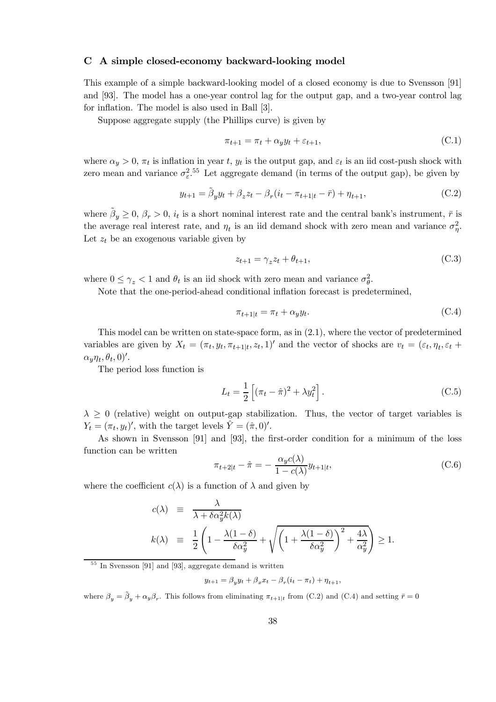# C A simple closed-economy backward-looking model

This example of a simple backward-looking model of a closed economy is due to Svensson [91] and [93]. The model has a one-year control lag for the output gap, and a two-year control lag for inflation. The model is also used in Ball [3].

Suppose aggregate supply (the Phillips curve) is given by

$$
\pi_{t+1} = \pi_t + \alpha_y y_t + \varepsilon_{t+1},\tag{C.1}
$$

where  $\alpha_y > 0$ ,  $\pi_t$  is inflation in year t,  $y_t$  is the output gap, and  $\varepsilon_t$  is an iid cost-push shock with zero mean and variance  $\sigma_{\varepsilon}^2$ .<sup>55</sup> Let aggregate demand (in terms of the output gap), be given by

$$
y_{t+1} = \tilde{\beta}_y y_t + \beta_z z_t - \beta_r (i_t - \pi_{t+1|t} - \bar{r}) + \eta_{t+1},
$$
\n(C.2)

where  $\beta_y \geq 0$ ,  $\beta_r > 0$ ,  $i_t$  is a short nominal interest rate and the central bank's instrument,  $\bar{r}$  is the average real interest rate, and  $\eta_t$  is an iid demand shock with zero mean and variance  $\sigma_n^2$ . Let  $z_t$  be an exogenous variable given by

$$
z_{t+1} = \gamma_z z_t + \theta_{t+1},\tag{C.3}
$$

where  $0 \leq \gamma_z < 1$  and  $\theta_t$  is an iid shock with zero mean and variance  $\sigma_{\theta}^2$ .

Note that the one-period-ahead conditional inflation forecast is predetermined,

$$
\pi_{t+1|t} = \pi_t + \alpha_y y_t. \tag{C.4}
$$

This model can be written on state-space form, as in (2.1), where the vector of predetermined variables are given by  $X_t = (\pi_t, y_t, \pi_{t+1|t}, z_t, 1)$  and the vector of shocks are  $v_t = (\varepsilon_t, \eta_t, \varepsilon_t +$  $\alpha_y \eta_t, \theta_t, 0$ '.

The period loss function is

$$
L_t = \frac{1}{2} \left[ (\pi_t - \hat{\pi})^2 + \lambda y_t^2 \right].
$$
 (C.5)

 $\lambda \geq 0$  (relative) weight on output-gap stabilization. Thus, the vector of target variables is  $Y_t = (\pi_t, y_t)'$ , with the target levels  $\hat{Y} = (\hat{\pi}, 0)'$ .

As shown in Svensson [91] and [93], the first-order condition for a minimum of the loss function can be written

$$
\pi_{t+2|t} - \hat{\pi} = -\frac{\alpha_y c(\lambda)}{1 - c(\lambda)} y_{t+1|t},
$$
\n(C.6)

where the coefficient  $c(\lambda)$  is a function of  $\lambda$  and given by

$$
c(\lambda) \equiv \frac{\lambda}{\lambda + \delta \alpha_y^2 k(\lambda)}
$$
  

$$
k(\lambda) \equiv \frac{1}{2} \left( 1 - \frac{\lambda (1 - \delta)}{\delta \alpha_y^2} + \sqrt{\left( 1 + \frac{\lambda (1 - \delta)}{\delta \alpha_y^2} \right)^2 + \frac{4\lambda}{\alpha_y^2}} \right) \ge 1.
$$

 $\frac{55}{10}$  In Svensson [91] and [93], aggregate demand is written

$$
y_{t+1} = \beta_y y_t + \beta_x x_t - \beta_r (i_t - \pi_t) + \eta_{t+1},
$$

where  $\beta_y = \tilde{\beta}_y + \alpha_y \beta_r$ . This follows from eliminating  $\pi_{t+1|t}$  from (C.2) and (C.4) and setting  $\bar{r} = 0$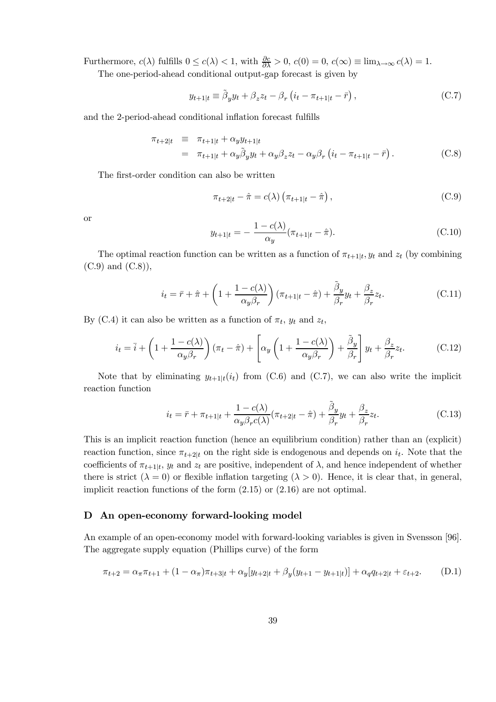Furthermore,  $c(\lambda)$  fulfills  $0 \le c(\lambda) < 1$ , with  $\frac{\partial c}{\partial \lambda} > 0$ ,  $c(0) = 0$ ,  $c(\infty) \equiv \lim_{\lambda \to \infty} c(\lambda) = 1$ .

The one-period-ahead conditional output-gap forecast is given by

$$
y_{t+1|t} \equiv \tilde{\beta}_y y_t + \beta_z z_t - \beta_r \left( i_t - \pi_{t+1|t} - \bar{r} \right), \tag{C.7}
$$

and the 2-period-ahead conditional inflation forecast fulfills

$$
\pi_{t+2|t} \equiv \pi_{t+1|t} + \alpha_y y_{t+1|t}
$$
  
=  $\pi_{t+1|t} + \alpha_y \tilde{\beta}_y y_t + \alpha_y \beta_z z_t - \alpha_y \beta_r (i_t - \pi_{t+1|t} - \bar{r}).$  (C.8)

The first-order condition can also be written

$$
\pi_{t+2|t} - \hat{\pi} = c(\lambda) \left( \pi_{t+1|t} - \hat{\pi} \right), \tag{C.9}
$$

or

$$
y_{t+1|t} = -\frac{1 - c(\lambda)}{\alpha_y} (\pi_{t+1|t} - \hat{\pi}).
$$
 (C.10)

The optimal reaction function can be written as a function of  $\pi_{t+1|t}$ ,  $y_t$  and  $z_t$  (by combining  $(C.9)$  and  $(C.8)$ ,

$$
i_t = \bar{r} + \hat{\pi} + \left(1 + \frac{1 - c(\lambda)}{\alpha_y \beta_r}\right) (\pi_{t+1|t} - \hat{\pi}) + \frac{\tilde{\beta}_y}{\beta_r} y_t + \frac{\beta_z}{\beta_r} z_t.
$$
 (C.11)

By (C.4) it can also be written as a function of  $\pi_t$ ,  $y_t$  and  $z_t$ ,

$$
i_t = \bar{i} + \left(1 + \frac{1 - c(\lambda)}{\alpha_y \beta_r}\right)(\pi_t - \hat{\pi}) + \left[\alpha_y \left(1 + \frac{1 - c(\lambda)}{\alpha_y \beta_r}\right) + \frac{\tilde{\beta}_y}{\beta_r}\right]y_t + \frac{\beta_z}{\beta_r}z_t.
$$
 (C.12)

Note that by eliminating  $y_{t+1|t}(i_t)$  from (C.6) and (C.7), we can also write the implicit reaction function

$$
i_t = \bar{r} + \pi_{t+1|t} + \frac{1 - c(\lambda)}{\alpha_y \beta_r c(\lambda)} (\pi_{t+2|t} - \hat{\pi}) + \frac{\tilde{\beta}_y}{\beta_r} y_t + \frac{\beta_z}{\beta_r} z_t.
$$
 (C.13)

This is an implicit reaction function (hence an equilibrium condition) rather than an (explicit) reaction function, since  $\pi_{t+2|t}$  on the right side is endogenous and depends on  $i_t$ . Note that the coefficients of  $\pi_{t+1|t}$ ,  $y_t$  and  $z_t$  are positive, independent of  $\lambda$ , and hence independent of whether there is strict  $(\lambda = 0)$  or flexible inflation targeting  $(\lambda > 0)$ . Hence, it is clear that, in general, implicit reaction functions of the form (2.15) or (2.16) are not optimal.

## D An open-economy forward-looking model

An example of an open-economy model with forward-looking variables is given in Svensson [96]. The aggregate supply equation (Phillips curve) of the form

$$
\pi_{t+2} = \alpha_{\pi} \pi_{t+1} + (1 - \alpha_{\pi}) \pi_{t+3|t} + \alpha_y [y_{t+2|t} + \beta_y (y_{t+1} - y_{t+1|t})] + \alpha_q q_{t+2|t} + \varepsilon_{t+2}.
$$
 (D.1)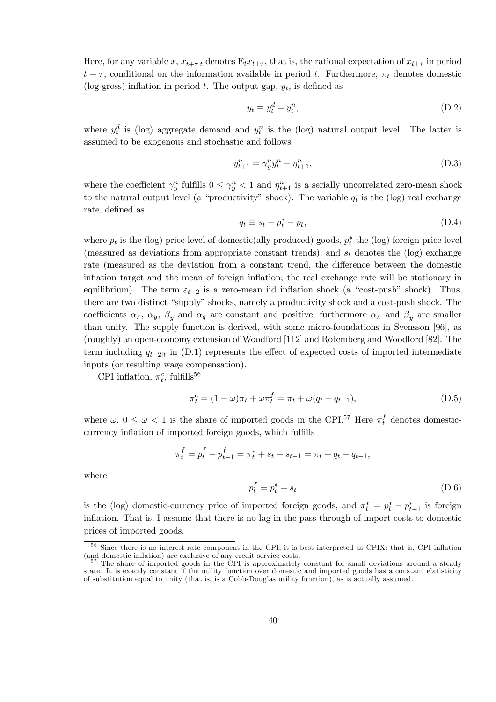Here, for any variable x,  $x_{t+\tau|t}$  denotes  $E_t x_{t+\tau}$ , that is, the rational expectation of  $x_{t+\tau}$  in period  $t + \tau$ , conditional on the information available in period t. Furthermore,  $\pi_t$  denotes domestic (log gross) inflation in period t. The output gap,  $y_t$ , is defined as

$$
y_t \equiv y_t^d - y_t^n,\tag{D.2}
$$

where  $y_t^d$  is (log) aggregate demand and  $y_t^n$  is the (log) natural output level. The latter is assumed to be exogenous and stochastic and follows

$$
y_{t+1}^n = \gamma_y^n y_t^n + \eta_{t+1}^n,\tag{D.3}
$$

where the coefficient  $\gamma_v^n$  fulfills  $0 \leq \gamma_v^n < 1$  and  $\eta_{t+1}^n$  is a serially uncorrelated zero-mean shock to the natural output level (a "productivity" shock). The variable  $q_t$  is the (log) real exchange rate, defined as

$$
q_t \equiv s_t + p_t^* - p_t,\tag{D.4}
$$

where  $p_t$  is the (log) price level of domestic(ally produced) goods,  $p_t^*$  the (log) foreign price level (measured as deviations from appropriate constant trends), and  $s_t$  denotes the (log) exchange rate (measured as the deviation from a constant trend, the difference between the domestic inflation target and the mean of foreign inflation; the real exchange rate will be stationary in equilibrium). The term  $\varepsilon_{t+2}$  is a zero-mean iid inflation shock (a "cost-push" shock). Thus, there are two distinct "supply" shocks, namely a productivity shock and a cost-push shock. The coefficients  $\alpha_{\pi}$ ,  $\alpha_{y}$ ,  $\beta_{y}$  and  $\alpha_{q}$  are constant and positive; furthermore  $\alpha_{\pi}$  and  $\beta_{y}$  are smaller than unity. The supply function is derived, with some micro-foundations in Svensson [96], as (roughly) an open-economy extension of Woodford [112] and Rotemberg and Woodford [82]. The term including  $q_{t+2|t}$  in (D.1) represents the effect of expected costs of imported intermediate inputs (or resulting wage compensation).

CPI inflation,  $\pi_t^c$ , fulfills<sup>56</sup>

$$
\pi_t^c = (1 - \omega)\pi_t + \omega \pi_t^f = \pi_t + \omega(q_t - q_{t-1}),
$$
\n(D.5)

where  $\omega, 0 \leq \omega < 1$  is the share of imported goods in the CPI.<sup>57</sup> Here  $\pi_t^f$  denotes domesticcurrency inflation of imported foreign goods, which fulfills

$$
\pi_t^f = p_t^f - p_{t-1}^f = \pi_t^* + s_t - s_{t-1} = \pi_t + q_t - q_{t-1},
$$

where

$$
p_t^f = p_t^* + s_t \tag{D.6}
$$

is the (log) domestic-currency price of imported foreign goods, and  $\pi_t^* = p_t^* - p_{t-1}^*$  is foreign inflation. That is, I assume that there is no lag in the pass-through of import costs to domestic prices of imported goods.

 $56$  Since there is no interest-rate component in the CPI, it is best interpreted as CPIX; that is, CPI inflation (and domestic inflation) are exclusive of any credit service costs.

 $57$  The share of imported goods in the CPI is approximately constant for small deviations around a steady state. It is exactly constant if the utility function over domestic and imported goods has a constant elatisticity of substitution equal to unity (that is, is a Cobb-Douglas utility function), as is actually assumed.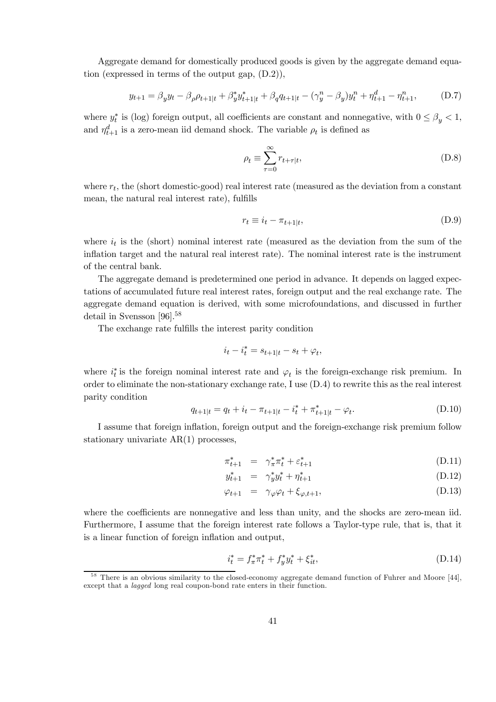Aggregate demand for domestically produced goods is given by the aggregate demand equation (expressed in terms of the output gap, (D.2)),

$$
y_{t+1} = \beta_y y_t - \beta_\rho \rho_{t+1|t} + \beta_y^* y_{t+1|t}^* + \beta_q q_{t+1|t} - (\gamma_y^n - \beta_y) y_t^n + \eta_{t+1}^d - \eta_{t+1}^n, \tag{D.7}
$$

where  $y_t^*$  is (log) foreign output, all coefficients are constant and nonnegative, with  $0 \le \beta_y < 1$ , and  $\eta_{t+1}^d$  is a zero-mean iid demand shock. The variable  $\rho_t$  is defined as

$$
\rho_t \equiv \sum_{\tau=0}^{\infty} r_{t+\tau|t},\tag{D.8}
$$

where  $r_t$ , the (short domestic-good) real interest rate (measured as the deviation from a constant mean, the natural real interest rate), fulfills

$$
r_t \equiv i_t - \pi_{t+1|t},\tag{D.9}
$$

where  $i_t$  is the (short) nominal interest rate (measured as the deviation from the sum of the inflation target and the natural real interest rate). The nominal interest rate is the instrument of the central bank.

The aggregate demand is predetermined one period in advance. It depends on lagged expectations of accumulated future real interest rates, foreign output and the real exchange rate. The aggregate demand equation is derived, with some microfoundations, and discussed in further detail in Svensson [96].<sup>58</sup>

The exchange rate fulfills the interest parity condition

$$
i_t - i_t^* = s_{t+1|t} - s_t + \varphi_t,
$$

where  $i_t^*$  is the foreign nominal interest rate and  $\varphi_t$  is the foreign-exchange risk premium. In order to eliminate the non-stationary exchange rate, I use (D.4) to rewrite this as the real interest parity condition

$$
q_{t+1|t} = q_t + i_t - \pi_{t+1|t} - i_t^* + \pi_{t+1|t}^* - \varphi_t.
$$
 (D.10)

I assume that foreign inflation, foreign output and the foreign-exchange risk premium follow stationary univariate AR(1) processes,

$$
\pi_{t+1}^* = \gamma_{\pi}^* \pi_t^* + \varepsilon_{t+1}^* \tag{D.11}
$$

$$
y_{t+1}^* = \gamma_y^* y_t^* + \eta_{t+1}^* \tag{D.12}
$$

$$
\varphi_{t+1} = \gamma_{\varphi} \varphi_t + \xi_{\varphi, t+1}, \tag{D.13}
$$

where the coefficients are nonnegative and less than unity, and the shocks are zero-mean iid. Furthermore, I assume that the foreign interest rate follows a Taylor-type rule, that is, that it is a linear function of foreign inflation and output,

$$
i_t^* = f_\pi^* \pi_t^* + f_y^* y_t^* + \xi_{it}^*,\tag{D.14}
$$

<sup>&</sup>lt;sup>58</sup> There is an obvious similarity to the closed-economy aggregate demand function of Fuhrer and Moore [44], except that a *lagged* long real coupon-bond rate enters in their function.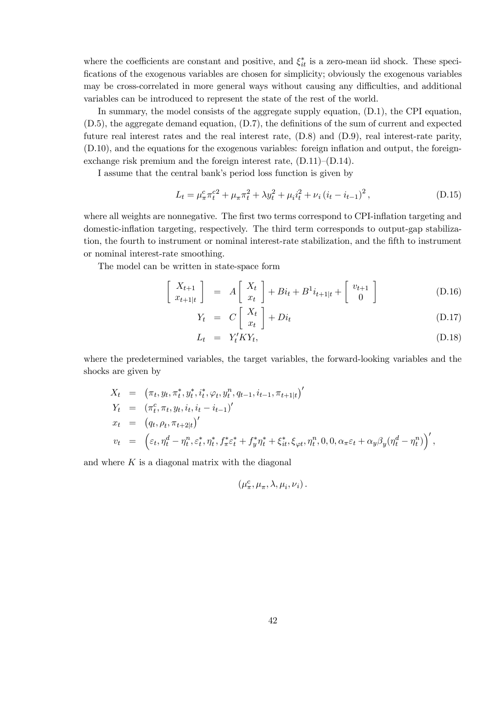where the coefficients are constant and positive, and  $\xi_{it}^*$  is a zero-mean iid shock. These speci-Öcations of the exogenous variables are chosen for simplicity; obviously the exogenous variables may be cross-correlated in more general ways without causing any difficulties, and additional variables can be introduced to represent the state of the rest of the world.

In summary, the model consists of the aggregate supply equation, (D.1), the CPI equation,  $(D.5)$ , the aggregate demand equation,  $(D.7)$ , the definitions of the sum of current and expected future real interest rates and the real interest rate, (D.8) and (D.9), real interest-rate parity,  $(D.10)$ , and the equations for the exogenous variables: foreign inflation and output, the foreignexchange risk premium and the foreign interest rate,  $(D.11)$ – $(D.14)$ .

I assume that the central bank's period loss function is given by

$$
L_{t} = \mu_{\pi}^{c} \pi_{t}^{c2} + \mu_{\pi} \pi_{t}^{2} + \lambda y_{t}^{2} + \mu_{i} i_{t}^{2} + \nu_{i} (i_{t} - i_{t-1})^{2}, \qquad (D.15)
$$

where all weights are nonnegative. The first two terms correspond to CPI-inflation targeting and domestic-inflation targeting, respectively. The third term corresponds to output-gap stabilization, the fourth to instrument or nominal interest-rate stabilization, and the fifth to instrument or nominal interest-rate smoothing.

The model can be written in state-space form

$$
\begin{bmatrix} X_{t+1} \\ x_{t+1|t} \end{bmatrix} = A \begin{bmatrix} X_t \\ x_t \end{bmatrix} + Bi_t + B^1 i_{t+1|t} + \begin{bmatrix} v_{t+1} \\ 0 \end{bmatrix}
$$
 (D.16)

$$
Y_t = C\left[\begin{array}{c} X_t \\ x_t \end{array}\right] + Di_t \tag{D.17}
$$

$$
L_t = Y_t' K Y_t, \tag{D.18}
$$

where the predetermined variables, the target variables, the forward-looking variables and the shocks are given by

$$
X_t = (\pi_t, y_t, \pi_t^*, y_t^*, i_t^*, \varphi_t, y_t^n, q_{t-1}, i_{t-1}, \pi_{t+1|t})'
$$
  
\n
$$
Y_t = (\pi_t^c, \pi_t, y_t, i_t, i_t - i_{t-1})'
$$
  
\n
$$
x_t = (q_t, \rho_t, \pi_{t+2|t})'
$$
  
\n
$$
v_t = (\varepsilon_t, \eta_t^d - \eta_t^n, \varepsilon_t^*, \eta_t^*, f_\pi^* \varepsilon_t^* + f_y^* \eta_t^* + \xi_t^*, \xi_{\varphi t}, \eta_t^n, 0, 0, \alpha_{\pi} \varepsilon_t + \alpha_y \beta_y (\eta_t^d - \eta_t^n))'
$$

and where  $K$  is a diagonal matrix with the diagonal

$$
(\mu^c_\pi, \mu_\pi, \lambda, \mu_i, \nu_i).
$$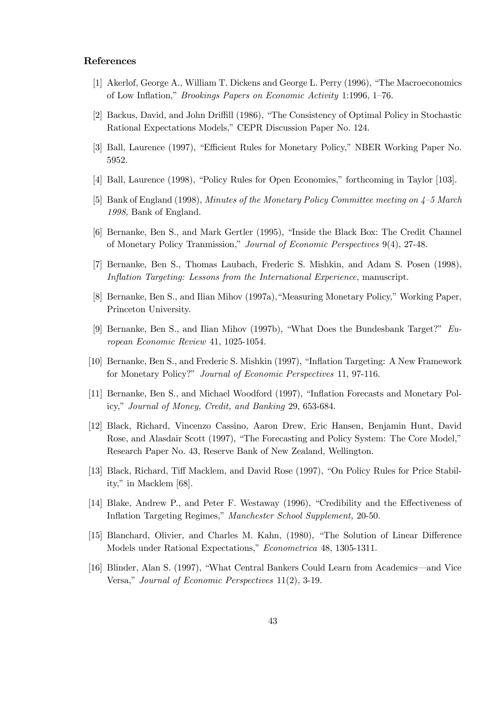# References

- [1] Akerlof, George A., William T. Dickens and George L. Perry (1996), "The Macroeconomics of Low Inflation," *Brookings Papers on Economic Activity* 1:1996, 1-76.
- [2] Backus, David, and John Driffill (1986), "The Consistency of Optimal Policy in Stochastic Rational Expectations Models," CEPR Discussion Paper No. 124.
- [3] Ball, Laurence (1997), "Efficient Rules for Monetary Policy," NBER Working Paper No. 5952.
- [4] Ball, Laurence (1998), "Policy Rules for Open Economies," forthcoming in Taylor [103].
- [5] Bank of England (1998), Minutes of the Monetary Policy Committee meeting on  $4-5$  March 1998, Bank of England.
- [6] Bernanke, Ben S., and Mark Gertler (1995), "Inside the Black Box: The Credit Channel of Monetary Policy Tranmission," Journal of Economic Perspectives 9(4), 27-48.
- [7] Bernanke, Ben S., Thomas Laubach, Frederic S. Mishkin, and Adam S. Posen (1998), Inflation Targeting: Lessons from the International Experience, manuscript.
- [8] Bernanke, Ben S., and Ilian Mihov (1997a), "Measuring Monetary Policy," Working Paper, Princeton University.
- [9] Bernanke, Ben S., and Ilian Mihov (1997b), "What Does the Bundesbank Target?" European Economic Review 41, 1025-1054.
- [10] Bernanke, Ben S., and Frederic S. Mishkin (1997), "Inflation Targeting: A New Framework for Monetary Policy?" Journal of Economic Perspectives 11, 97-116.
- [11] Bernanke, Ben S., and Michael Woodford (1997), "Inflation Forecasts and Monetary Policy," Journal of Money, Credit, and Banking 29, 653-684.
- [12] Black, Richard, Vincenzo Cassino, Aaron Drew, Eric Hansen, Benjamin Hunt, David Rose, and Alasdair Scott (1997), "The Forecasting and Policy System: The Core Model," Research Paper No. 43, Reserve Bank of New Zealand, Wellington.
- [13] Black, Richard, Tiff Macklem, and David Rose (1997), "On Policy Rules for Price Stability," in Macklem [68].
- [14] Blake, Andrew P., and Peter F. Westaway (1996), "Credibility and the Effectiveness of Inflation Targeting Regimes," Manchester School Supplement, 20-50.
- [15] Blanchard, Olivier, and Charles M. Kahn, (1980). "The Solution of Linear Difference Models under Rational Expectations," Econometrica 48, 1305-1311.
- [16] Blinder, Alan S. (1997), "What Central Bankers Could Learn from Academics—and Vice Versa," Journal of Economic Perspectives 11(2), 3-19.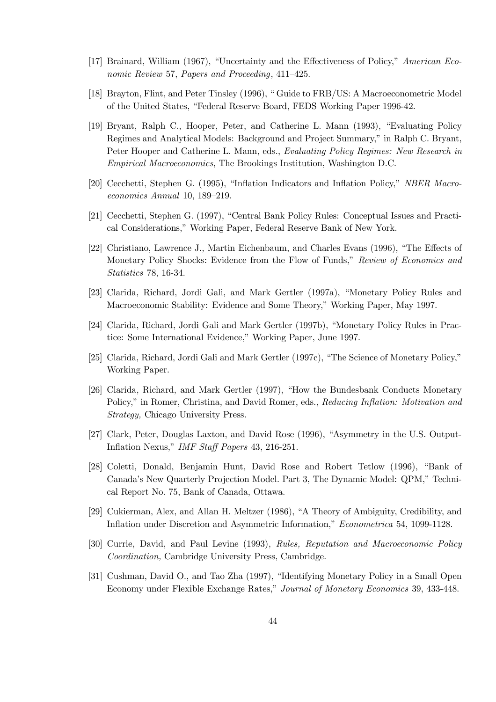- [17] Brainard, William (1967), "Uncertainty and the Effectiveness of Policy," American Economic Review 57, Papers and Proceeding, 411-425.
- [18] Brayton, Flint, and Peter Tinsley (1996), "Guide to FRB/US: A Macroeconometric Model of the United States, "Federal Reserve Board, FEDS Working Paper 1996-42.
- [19] Bryant, Ralph C., Hooper, Peter, and Catherine L. Mann (1993), "Evaluating Policy Regimes and Analytical Models: Background and Project Summary," in Ralph C. Bryant, Peter Hooper and Catherine L. Mann, eds., Evaluating Policy Regimes: New Research in *Empirical Macroeconomics*, The Brookings Institution, Washington D.C.
- [20] Cecchetti, Stephen G. (1995), "Inflation Indicators and Inflation Policy," NBER Macroeconomics Annual 10, 189-219.
- [21] Cecchetti, Stephen G. (1997), "Central Bank Policy Rules: Conceptual Issues and Practical Considerations," Working Paper, Federal Reserve Bank of New York.
- [22] Christiano, Lawrence J., Martin Eichenbaum, and Charles Evans (1996), "The Effects of Monetary Policy Shocks: Evidence from the Flow of Funds." Review of Economics and Statistics 78, 16-34.
- [23] Clarida, Richard, Jordi Gali, and Mark Gertler (1997a), "Monetary Policy Rules and Macroeconomic Stability: Evidence and Some Theory," Working Paper, May 1997.
- [24] Clarida, Richard, Jordi Gali and Mark Gertler (1997b), "Monetary Policy Rules in Practice: Some International Evidence," Working Paper, June 1997.
- [25] Clarida, Richard, Jordi Gali and Mark Gertler (1997c), "The Science of Monetary Policy," Working Paper.
- [26] Clarida, Richard, and Mark Gertler (1997), "How the Bundesbank Conducts Monetary Policy," in Romer, Christina, and David Romer, eds., Reducing Inflation: Motivation and Strategy, Chicago University Press.
- [27] Clark, Peter, Douglas Laxton, and David Rose (1996), "Asymmetry in the U.S. Output-Inflation Nexus," IMF Staff Papers 43, 216-251.
- [28] Coletti, Donald, Benjamin Hunt, David Rose and Robert Tetlow (1996), "Bank of Canada's New Quarterly Projection Model. Part 3, The Dynamic Model: QPM," Technical Report No. 75, Bank of Canada, Ottawa.
- [29] Cukierman, Alex, and Allan H. Meltzer (1986), "A Theory of Ambiguity, Credibility, and Inflation under Discretion and Asymmetric Information," Econometrica 54, 1099-1128.
- [30] Currie, David, and Paul Levine (1993), Rules, Reputation and Macroeconomic Policy *Coordination*, Cambridge University Press, Cambridge.
- [31] Cushman, David O., and Tao Zha (1997), "Identifying Monetary Policy in a Small Open Economy under Flexible Exchange Rates," Journal of Monetary Economics 39, 433-448.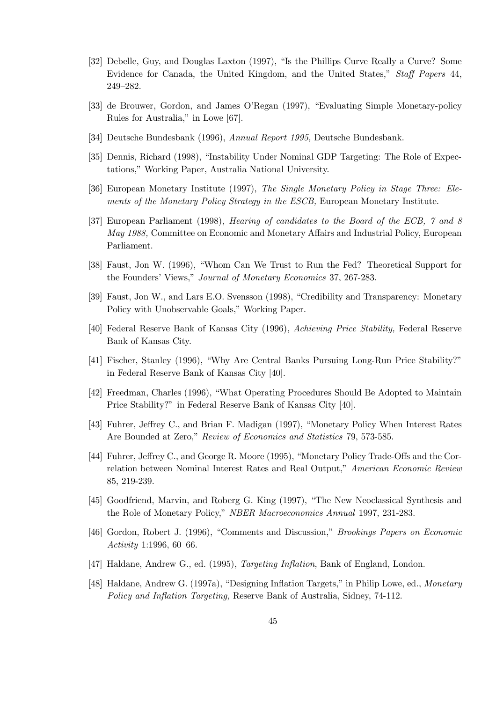- [32] Debelle, Guy, and Douglas Laxton (1997), "Is the Phillips Curve Really a Curve? Some Evidence for Canada, the United Kingdom, and the United States," Staff Papers 44, 249-282.
- [33] de Brouwer, Gordon, and James O'Regan (1997), "Evaluating Simple Monetary-policy Rules for Australia," in Lowe [67].
- [34] Deutsche Bundesbank (1996), Annual Report 1995, Deutsche Bundesbank.
- [35] Dennis, Richard (1998), "Instability Under Nominal GDP Targeting: The Role of Expectations," Working Paper, Australia National University.
- [36] European Monetary Institute (1997). The Single Monetary Policy in Stage Three: Elements of the Monetary Policy Strategy in the ESCB, European Monetary Institute.
- [37] European Parliament (1998), *Hearing of candidates to the Board of the ECB*, 7 and 8 May 1988. Committee on Economic and Monetary Affairs and Industrial Policy, European Parliament.
- [38] Faust, Jon W. (1996), "Whom Can We Trust to Run the Fed? Theoretical Support for the Founders' Views," Journal of Monetary Economics 37, 267-283.
- [39] Faust, Jon W., and Lars E.O. Svensson (1998), "Credibility and Transparency: Monetary Policy with Unobservable Goals," Working Paper.
- [40] Federal Reserve Bank of Kansas City (1996), Achieving Price Stability, Federal Reserve Bank of Kansas City.
- [41] Fischer, Stanley (1996), "Why Are Central Banks Pursuing Long-Run Price Stability?" in Federal Reserve Bank of Kansas City [40].
- [42] Freedman, Charles (1996), "What Operating Procedures Should Be Adopted to Maintain Price Stability?" in Federal Reserve Bank of Kansas City [40].
- [43] Fuhrer, Jeffrey C., and Brian F. Madigan (1997), "Monetary Policy When Interest Rates Are Bounded at Zero," Review of Economics and Statistics 79, 573-585.
- [44] Fuhrer, Jeffrey C., and George R. Moore (1995), "Monetary Policy Trade-Offs and the Correlation between Nominal Interest Rates and Real Output," American Economic Review 85, 219-239.
- [45] Goodfriend, Marvin, and Roberg G. King (1997). "The New Neoclassical Synthesis and the Role of Monetary Policy," NBER Macroeconomics Annual 1997, 231-283.
- [46] Gordon, Robert J. (1996), "Comments and Discussion," *Brookings Papers on Economic* Activity 1:1996, 60-66.
- [47] Haldane, Andrew G., ed. (1995), *Targeting Inflation*, Bank of England, London.
- [48] Haldane, Andrew G. (1997a), "Designing Inflation Targets," in Philip Lowe, ed., Monetary Policy and Inflation Targeting, Reserve Bank of Australia, Sidney, 74-112.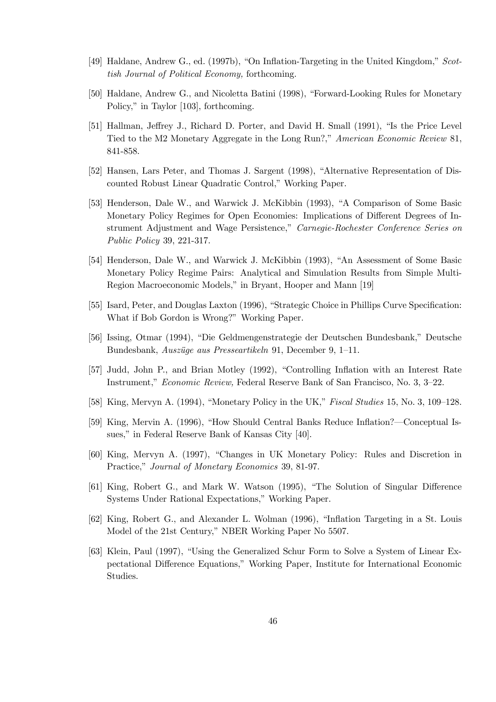- [49] Haldane, Andrew G., ed. (1997b), "On Inflation-Targeting in the United Kingdom," Scottish Journal of Political Economy, forthcoming.
- [50] Haldane, Andrew G., and Nicoletta Batini (1998), "Forward-Looking Rules for Monetary Policy," in Taylor [103], forthcoming.
- [51] Hallman, Jeffrey J., Richard D. Porter, and David H. Small (1991), "Is the Price Level Tied to the M2 Monetary Aggregate in the Long Run?," American Economic Review 81, 841-858.
- [52] Hansen, Lars Peter, and Thomas J. Sargent (1998), "Alternative Representation of Discounted Robust Linear Quadratic Control," Working Paper.
- [53] Henderson, Dale W., and Warwick J. McKibbin (1993), "A Comparison of Some Basic Monetary Policy Regimes for Open Economies: Implications of Different Degrees of Instrument Adjustment and Wage Persistence," Carnegie-Rochester Conference Series on *Public Policy 39, 221-317.*
- [54] Henderson, Dale W., and Warwick J. McKibbin (1993), "An Assessment of Some Basic Monetary Policy Regime Pairs: Analytical and Simulation Results from Simple Multi-Region Macroeconomic Models," in Bryant, Hooper and Mann [19]
- [55] Isard, Peter, and Douglas Laxton (1996), "Strategic Choice in Phillips Curve Specification: What if Bob Gordon is Wrong?" Working Paper.
- [56] Issing, Otmar (1994), "Die Geldmengenstrategie der Deutschen Bundesbank," Deutsche Bundesbank, Auszüge aus Presseartikeln 91, December 9, 1–11.
- [57] Judd, John P., and Brian Motley (1992), "Controlling Inflation with an Interest Rate Instrument," Economic Review, Federal Reserve Bank of San Francisco, No. 3, 3-22.
- [58] King, Mervyn A. (1994), "Monetary Policy in the UK," Fiscal Studies 15, No. 3, 109-128.
- [59] King, Mervin A. (1996), "How Should Central Banks Reduce Inflation?—Conceptual Issues," in Federal Reserve Bank of Kansas City [40].
- [60] King, Mervyn A. (1997), "Changes in UK Monetary Policy: Rules and Discretion in Practice," Journal of Monetary Economics 39, 81-97.
- [61] King, Robert G., and Mark W. Watson (1995), "The Solution of Singular Difference Systems Under Rational Expectations," Working Paper.
- [62] King, Robert G., and Alexander L. Wolman (1996), "Inflation Targeting in a St. Louis Model of the 21st Century," NBER Working Paper No 5507.
- [63] Klein, Paul (1997), "Using the Generalized Schur Form to Solve a System of Linear Expectational Difference Equations," Working Paper, Institute for International Economic Studies.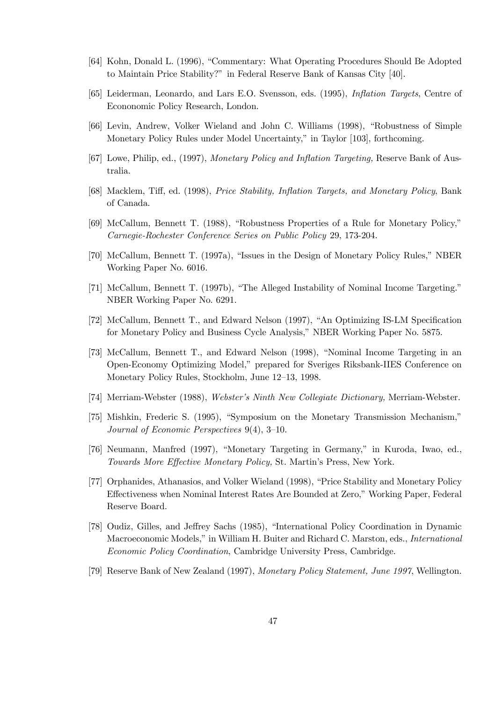- [64] Kohn, Donald L. (1996), "Commentary: What Operating Procedures Should Be Adopted to Maintain Price Stability?" in Federal Reserve Bank of Kansas City [40].
- [65] Leiderman, Leonardo, and Lars E.O. Svensson, eds. (1995), *Inflation Targets*, Centre of Econonomic Policy Research, London.
- [66] Levin, Andrew, Volker Wieland and John C. Williams (1998), "Robustness of Simple Monetary Policy Rules under Model Uncertainty," in Taylor [103], forthcoming.
- [67] Lowe, Philip, ed., (1997), Monetary Policy and Inflation Targeting, Reserve Bank of Australia.
- [68] Macklem, Tiff, ed. (1998), Price Stability, Inflation Targets, and Monetary Policy, Bank of Canada.
- [69] McCallum, Bennett T. (1988), "Robustness Properties of a Rule for Monetary Policy," Carnegie-Rochester Conference Series on Public Policy 29, 173-204.
- [70] McCallum, Bennett T. (1997a), "Issues in the Design of Monetary Policy Rules," NBER Working Paper No. 6016.
- [71] McCallum, Bennett T. (1997b), "The Alleged Instability of Nominal Income Targeting." NBER Working Paper No. 6291.
- [72] McCallum, Bennett T., and Edward Nelson (1997), "An Optimizing IS-LM Specification for Monetary Policy and Business Cycle Analysis," NBER Working Paper No. 5875.
- [73] McCallum, Bennett T., and Edward Nelson (1998), "Nominal Income Targeting in an Open-Economy Optimizing Model," prepared for Sveriges Riksbank-IIES Conference on Monetary Policy Rules, Stockholm, June 12-13, 1998.
- [74] Merriam-Webster (1988), Webster's Ninth New Collegiate Dictionary, Merriam-Webster.
- [75] Mishkin, Frederic S. (1995), "Symposium on the Monetary Transmission Mechanism," Journal of Economic Perspectives  $9(4)$ , 3-10.
- [76] Neumann, Manfred (1997), "Monetary Targeting in Germany," in Kuroda, Iwao, ed., Towards More Effective Monetary Policy, St. Martin's Press, New York.
- [77] Orphanides, Athanasios, and Volker Wieland (1998), "Price Stability and Monetary Policy Effectiveness when Nominal Interest Rates Are Bounded at Zero," Working Paper, Federal Reserve Board.
- [78] Oudiz, Gilles, and Jeffrey Sachs (1985), "International Policy Coordination in Dynamic Macroeconomic Models," in William H. Buiter and Richard C. Marston, eds., *International* Economic Policy Coordination, Cambridge University Press, Cambridge.
- [79] Reserve Bank of New Zealand (1997), Monetary Policy Statement, June 1997, Wellington.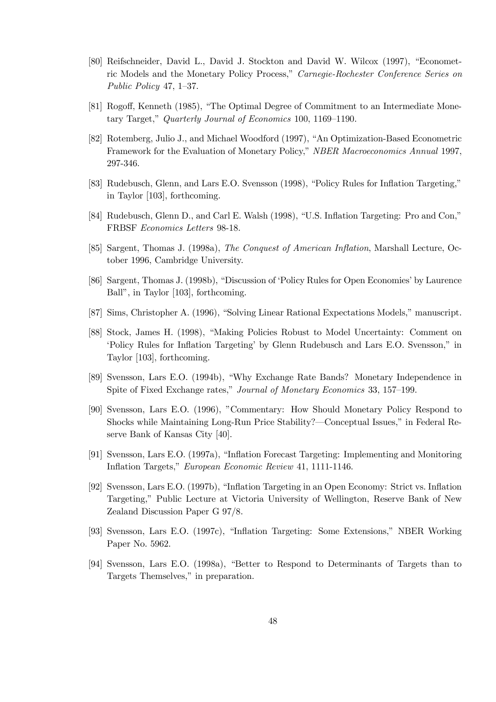- [80] Reifschneider, David L., David J. Stockton and David W. Wilcox (1997), "Econometric Models and the Monetary Policy Process," Carnegie-Rochester Conference Series on Public Policy 47,  $1-37$ .
- [81] Rogoff, Kenneth (1985), "The Optimal Degree of Commitment to an Intermediate Monetary Target," Quarterly Journal of Economics 100, 1169-1190.
- [82] Rotemberg, Julio J., and Michael Woodford (1997), "An Optimization-Based Econometric Framework for the Evaluation of Monetary Policy," NBER Macroeconomics Annual 1997, 297-346.
- [83] Rudebusch, Glenn, and Lars E.O. Svensson (1998), "Policy Rules for Inflation Targeting," in Taylor [103], forthcoming.
- [84] Rudebusch, Glenn D., and Carl E. Walsh (1998), "U.S. Inflation Targeting: Pro and Con," FRBSF Economics Letters 98-18.
- [85] Sargent, Thomas J. (1998a), The Conquest of American Inflation, Marshall Lecture, October 1996. Cambridge University.
- [86] Sargent, Thomas J. (1998b), "Discussion of 'Policy Rules for Open Economies' by Laurence Ball", in Taylor [103], forthcoming.
- [87] Sims, Christopher A. (1996), "Solving Linear Rational Expectations Models," manuscript.
- [88] Stock, James H. (1998), "Making Policies Robust to Model Uncertainty: Comment on 'Policy Rules for Inflation Targeting' by Glenn Rudebusch and Lars E.O. Svensson," in Taylor [103], forthcoming.
- [89] Svensson, Lars E.O. (1994b), "Why Exchange Rate Bands? Monetary Independence in Spite of Fixed Exchange rates," Journal of Monetary Economics 33, 157-199.
- [90] Svensson, Lars E.O. (1996), "Commentary: How Should Monetary Policy Respond to Shocks while Maintaining Long-Run Price Stability?—Conceptual Issues," in Federal Reserve Bank of Kansas City [40].
- [91] Svensson, Lars E.O. (1997a), "Inflation Forecast Targeting: Implementing and Monitoring Inflation Targets," European Economic Review 41, 1111-1146.
- [92] Svensson, Lars E.O. (1997b), "Inflation Targeting in an Open Economy: Strict vs. Inflation Targeting," Public Lecture at Victoria University of Wellington, Reserve Bank of New Zealand Discussion Paper G 97/8.
- [93] Svensson, Lars E.O. (1997c), "Inflation Targeting: Some Extensions," NBER Working Paper No. 5962.
- [94] Svensson, Lars E.O. (1998a), "Better to Respond to Determinants of Targets than to Targets Themselves," in preparation.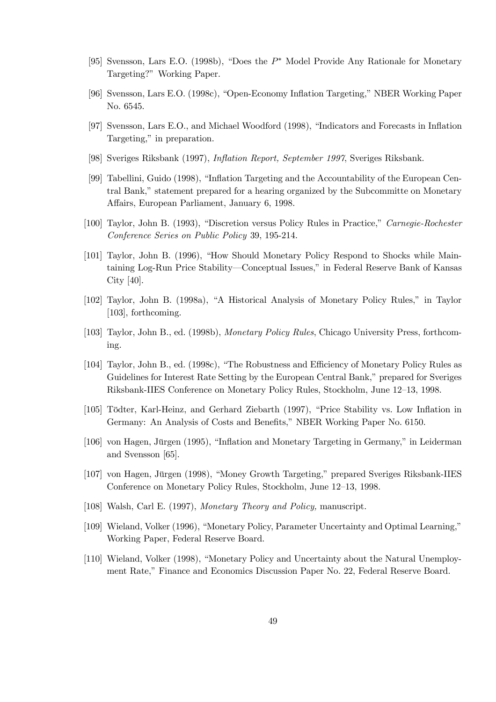- [95] Svensson, Lars E.O. (1998b), "Does the  $P^*$  Model Provide Any Rationale for Monetary Targeting?" Working Paper.
- [96] Svensson, Lars E.O. (1998c), "Open-Economy Inflation Targeting," NBER Working Paper No. 6545.
- [97] Svensson, Lars E.O., and Michael Woodford (1998), "Indicators and Forecasts in Inflation Targeting," in preparation.
- [98] Sveriges Riksbank (1997), *Inflation Report, September 1997*, Sveriges Riksbank.
- [99] Tabellini, Guido (1998), "Inflation Targeting and the Accountability of the European Central Bank," statement prepared for a hearing organized by the Subcommitte on Monetary Affairs, European Parliament, January 6, 1998.
- [100] Taylor, John B. (1993), "Discretion versus Policy Rules in Practice," Carnegie-Rochester Conference Series on Public Policy 39, 195-214.
- [101] Taylor, John B. (1996), "How Should Monetary Policy Respond to Shocks while Maintaining Log-Run Price Stability—Conceptual Issues," in Federal Reserve Bank of Kansas City  $[40]$ .
- [102] Taylor, John B. (1998a), "A Historical Analysis of Monetary Policy Rules," in Taylor  $[103]$ , forthcoming.
- [103] Taylor, John B., ed. (1998b), Monetary Policy Rules, Chicago University Press, forthcoming.
- [104] Taylor, John B., ed. (1998c), "The Robustness and Efficiency of Monetary Policy Rules as Guidelines for Interest Rate Setting by the European Central Bank," prepared for Sveriges Riksbank-IIES Conference on Monetary Policy Rules, Stockholm, June 12-13, 1998.
- [105] Tödter, Karl-Heinz, and Gerhard Ziebarth (1997), "Price Stability vs. Low Inflation in Germany: An Analysis of Costs and Benefits," NBER Working Paper No. 6150.
- [106] von Hagen, Jürgen (1995), "Inflation and Monetary Targeting in Germany," in Leiderman and Svensson [65].
- [107] von Hagen, Jürgen (1998), "Money Growth Targeting," prepared Sveriges Riksbank-IIES Conference on Monetary Policy Rules, Stockholm, June 12-13, 1998.
- [108] Walsh, Carl E. (1997), *Monetary Theory and Policy*, manuscript.
- [109] Wieland, Volker (1996), "Monetary Policy, Parameter Uncertainty and Optimal Learning," Working Paper, Federal Reserve Board.
- [110] Wieland, Volker (1998), "Monetary Policy and Uncertainty about the Natural Unemployment Rate," Finance and Economics Discussion Paper No. 22, Federal Reserve Board.